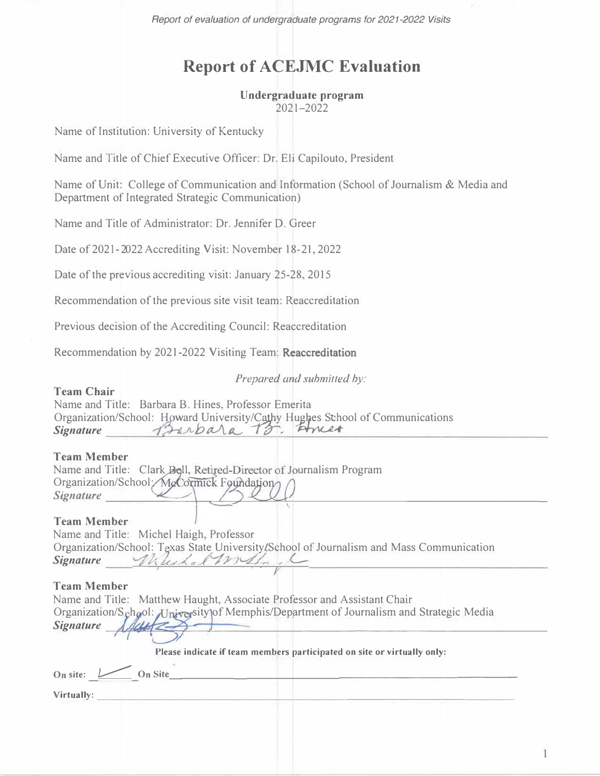*Report of evaluation of undergraduate programs for 2021-2022 Visits* 

# **Report of ACEJMC Evaluation**

# **Undergraduate program**

2021-2022

Name of Institution: University of Kentucky

Name and Title of Chief Executive Officer: Dr. Eli Capilouto, President

Name of Unit: College of Communication and Information (School of Journalism & Media and Department of Integrated Strategic Communication)

Name and Title of Administrator: Dr. Jennifer D. Greer

Date of 2021-2022 Accrediting Visit: November 18-21, 2022

Date of the previous accrediting visit: January 25-28, 2015

Recommendation of the previous site visit team: Reaccreditation

Previous decision of the Accrediting Council: Reaccreditation

Recommendation by 2021-2022 Visiting Team: Reaccreditation

Prepared and submitted by:

#### **Team Chair**

Name and Title: Barbara B. Hines, Professor Emerita Organization/School: Howard University/Cathy Hughes School of Communications Signature *Prinbala* B. Amer

#### **Team Member**

| <b>TEAM PROMIDER</b> |                                                                    |  |  |
|----------------------|--------------------------------------------------------------------|--|--|
|                      | Name and Title: Clark Boll, Retired-Director of Journalism Program |  |  |
|                      | Organization/School:/MgCormick Foundation                          |  |  |
| <b>Signature</b>     |                                                                    |  |  |
|                      |                                                                    |  |  |

#### **Team Member**

Name and Title: Michel Haigh, Professor Organization/School: Texas State University/School of Journalism and Mass Communication  $S$ *ignature* Wileskol With

# **Team Member**

| Name and Title: Matthew Haught, Associate Professor and Assistant Chair                 |  |
|-----------------------------------------------------------------------------------------|--|
| Organization/School: University of Memphis/Department of Journalism and Strategic Media |  |
| Signature $\lambda$ distribution                                                        |  |
|                                                                                         |  |

**Please indicate if team members participated on site or virtually only:** 

| On site: | $\overline{\phantom{a}}$ | <b>Dn Site</b> |  |  |  |
|----------|--------------------------|----------------|--|--|--|
|          |                          |                |  |  |  |

**Virtually:--------------------------------**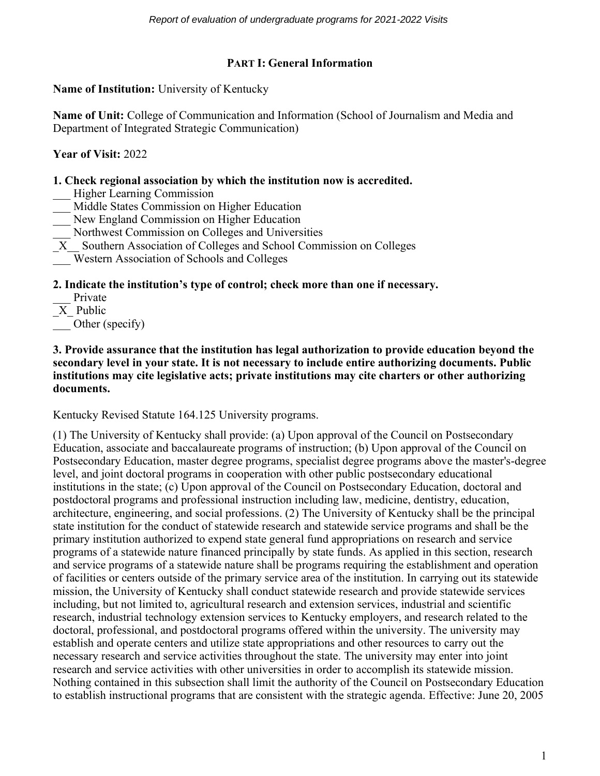# **PART I: General Information**

**Name of Institution:** University of Kentucky

**Name of Unit:** College of Communication and Information (School of Journalism and Media and Department of Integrated Strategic Communication)

**Year of Visit:** 2022

# **1. Check regional association by which the institution now is accredited.**

- Higher Learning Commission
- Middle States Commission on Higher Education
- New England Commission on Higher Education
- \_\_\_ Northwest Commission on Colleges and Universities
- \_X\_\_ Southern Association of Colleges and School Commission on Colleges
- \_\_\_ Western Association of Schools and Colleges

## **2. Indicate the institution's type of control; check more than one if necessary.**

- Private
- \_X\_ Public

Other (specify)

#### **3. Provide assurance that the institution has legal authorization to provide education beyond the secondary level in your state. It is not necessary to include entire authorizing documents. Public institutions may cite legislative acts; private institutions may cite charters or other authorizing documents.**

Kentucky Revised Statute 164.125 University programs.

(1) The University of Kentucky shall provide: (a) Upon approval of the Council on Postsecondary Education, associate and baccalaureate programs of instruction; (b) Upon approval of the Council on Postsecondary Education, master degree programs, specialist degree programs above the master's-degree level, and joint doctoral programs in cooperation with other public postsecondary educational institutions in the state; (c) Upon approval of the Council on Postsecondary Education, doctoral and postdoctoral programs and professional instruction including law, medicine, dentistry, education, architecture, engineering, and social professions. (2) The University of Kentucky shall be the principal state institution for the conduct of statewide research and statewide service programs and shall be the primary institution authorized to expend state general fund appropriations on research and service programs of a statewide nature financed principally by state funds. As applied in this section, research and service programs of a statewide nature shall be programs requiring the establishment and operation of facilities or centers outside of the primary service area of the institution. In carrying out its statewide mission, the University of Kentucky shall conduct statewide research and provide statewide services including, but not limited to, agricultural research and extension services, industrial and scientific research, industrial technology extension services to Kentucky employers, and research related to the doctoral, professional, and postdoctoral programs offered within the university. The university may establish and operate centers and utilize state appropriations and other resources to carry out the necessary research and service activities throughout the state. The university may enter into joint research and service activities with other universities in order to accomplish its statewide mission. Nothing contained in this subsection shall limit the authority of the Council on Postsecondary Education to establish instructional programs that are consistent with the strategic agenda. Effective: June 20, 2005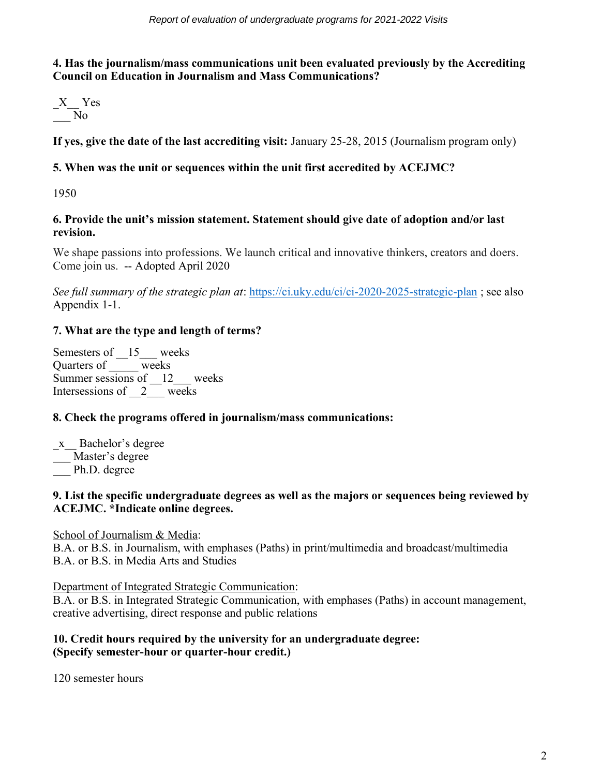# **4. Has the journalism/mass communications unit been evaluated previously by the Accrediting Council on Education in Journalism and Mass Communications?**

$$
\frac{X}{N_0}Yes
$$

**If yes, give the date of the last accrediting visit:** January 25-28, 2015 (Journalism program only)

# **5. When was the unit or sequences within the unit first accredited by ACEJMC?**

1950

# **6. Provide the unit's mission statement. Statement should give date of adoption and/or last revision.**

We shape passions into professions. We launch critical and innovative thinkers, creators and doers. Come join us. -- Adopted April 2020

*See full summary of the strategic plan at*:<https://ci.uky.edu/ci/ci-2020-2025-strategic-plan> ; see also Appendix 1-1.

# **7. What are the type and length of terms?**

Semesters of  $15$  weeks Quarters of \_\_\_\_\_ weeks Summer sessions of 12\_\_\_ weeks Intersessions of  $2$  weeks

# **8. Check the programs offered in journalism/mass communications:**

\_x\_\_ Bachelor's degree Master's degree

Ph.D. degree

# **9. List the specific undergraduate degrees as well as the majors or sequences being reviewed by ACEJMC. \*Indicate online degrees.**

# School of Journalism & Media:

B.A. or B.S. in Journalism, with emphases (Paths) in print/multimedia and broadcast/multimedia B.A. or B.S. in Media Arts and Studies

# Department of Integrated Strategic Communication:

B.A. or B.S. in Integrated Strategic Communication, with emphases (Paths) in account management, creative advertising, direct response and public relations

# **10. Credit hours required by the university for an undergraduate degree: (Specify semester-hour or quarter-hour credit.)**

120 semester hours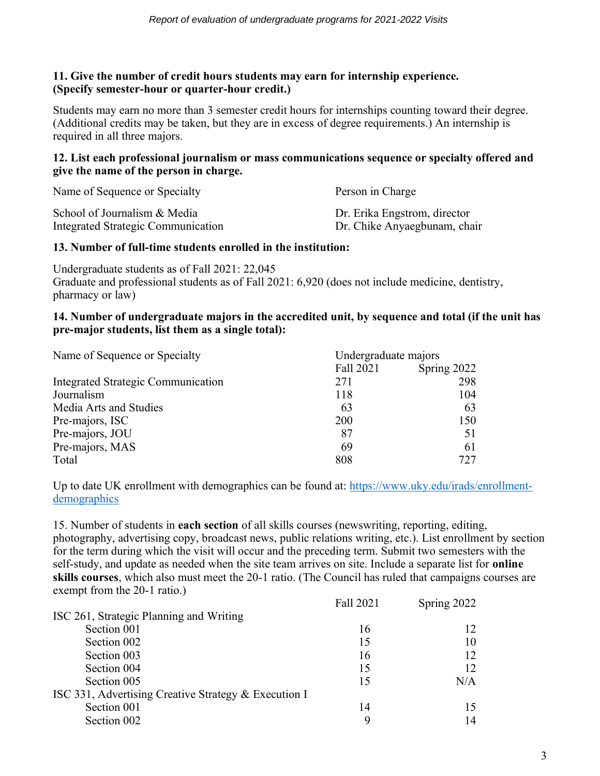## **11. Give the number of credit hours students may earn for internship experience. (Specify semester-hour or quarter-hour credit.)**

Students may earn no more than 3 semester credit hours for internships counting toward their degree. (Additional credits may be taken, but they are in excess of degree requirements.) An internship is required in all three majors.

#### **12. List each professional journalism or mass communications sequence or specialty offered and give the name of the person in charge.**

| Name of Sequence or Specialty             | Person in Charge             |
|-------------------------------------------|------------------------------|
| School of Journalism & Media              | Dr. Erika Engstrom, director |
| <b>Integrated Strategic Communication</b> | Dr. Chike Anyaegbunam, chair |

# **13. Number of full-time students enrolled in the institution:**

Undergraduate students as of Fall 2021: 22,045 Graduate and professional students as of Fall 2021: 6,920 (does not include medicine, dentistry, pharmacy or law)

## **14. Number of undergraduate majors in the accredited unit, by sequence and total (if the unit has pre-major students, list them as a single total):**

| Name of Sequence or Specialty             | Undergraduate majors |             |
|-------------------------------------------|----------------------|-------------|
|                                           | Fall 2021            | Spring 2022 |
| <b>Integrated Strategic Communication</b> | 271                  | 298         |
| Journalism                                | 118                  | 104         |
| Media Arts and Studies                    | 63                   | 63          |
| Pre-majors, ISC                           | 200                  | 150         |
| Pre-majors, JOU                           | 87                   | 51          |
| Pre-majors, MAS                           | 69                   | 61          |
| Total                                     | 808                  | 727         |

Up to date UK enrollment with demographics can be found at: [https://www.uky.edu/irads/enrollment](https://www.uky.edu/irads/enrollment-demographics)[demographics](https://www.uky.edu/irads/enrollment-demographics)

15. Number of students in **each section** of all skills courses (newswriting, reporting, editing, photography, advertising copy, broadcast news, public relations writing, etc.). List enrollment by section for the term during which the visit will occur and the preceding term. Submit two semesters with the self-study, and update as needed when the site team arrives on site. Include a separate list for **online skills courses**, which also must meet the 20-1 ratio. (The Council has ruled that campaigns courses are exempt from the 20-1 ratio.)

|                                                      | Fall 2021 | Spring 2022 |
|------------------------------------------------------|-----------|-------------|
| ISC 261, Strategic Planning and Writing              |           |             |
| Section 001                                          | 16        | 12          |
| Section 002                                          | 15        | 10          |
| Section 003                                          | 16        | 12          |
| Section 004                                          | 15        | 12          |
| Section 005                                          | 15        | N/A         |
| ISC 331, Advertising Creative Strategy & Execution I |           |             |
| Section 001                                          | 14        | 15          |
| Section 002                                          | 9         | 14          |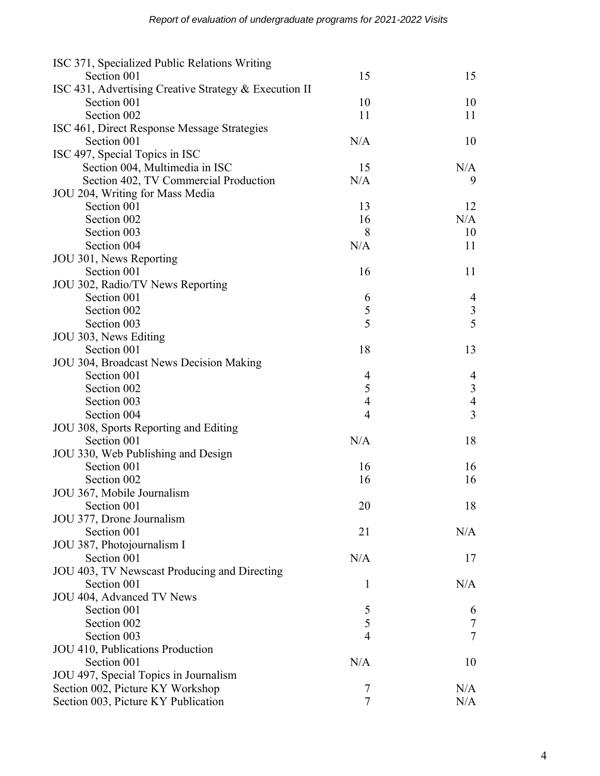| ISC 371, Specialized Public Relations Writing         |                |                  |
|-------------------------------------------------------|----------------|------------------|
| Section 001                                           | 15             | 15               |
| ISC 431, Advertising Creative Strategy & Execution II |                |                  |
| Section 001                                           | 10             | 10               |
| Section 002                                           | 11             | 11               |
| ISC 461, Direct Response Message Strategies           |                |                  |
| Section 001                                           | N/A            | 10               |
| ISC 497, Special Topics in ISC                        |                |                  |
| Section 004, Multimedia in ISC                        | 15             | N/A              |
| Section 402, TV Commercial Production                 | N/A            | 9                |
| JOU 204, Writing for Mass Media                       |                |                  |
| Section 001                                           | 13             | 12               |
| Section 002                                           | 16             | N/A              |
| Section 003                                           | 8              | 10               |
| Section 004                                           | N/A            | 11               |
| JOU 301, News Reporting                               |                |                  |
| Section 001                                           | 16             | 11               |
| JOU 302, Radio/TV News Reporting                      |                |                  |
| Section 001                                           | 6              | 4                |
| Section 002                                           | 5              |                  |
| Section 003                                           | $\overline{5}$ | $\frac{3}{5}$    |
| JOU 303, News Editing                                 |                |                  |
| Section 001                                           | 18             | 13               |
| JOU 304, Broadcast News Decision Making               |                |                  |
| Section 001                                           | 4              | $\overline{4}$   |
| Section 002                                           | 5              | $\overline{3}$   |
| Section 003                                           | $\overline{4}$ | $\overline{4}$   |
| Section 004                                           | $\overline{4}$ | $\overline{3}$   |
| JOU 308, Sports Reporting and Editing                 |                |                  |
| Section 001                                           | N/A            | 18               |
| JOU 330, Web Publishing and Design                    |                |                  |
| Section 001                                           | 16             | 16               |
| Section 002                                           | 16             | 16               |
| JOU 367, Mobile Journalism                            |                |                  |
| Section 001                                           | 20             | 18               |
| JOU 377, Drone Journalism                             |                |                  |
| Section 001                                           | 21             | N/A              |
| JOU 387, Photojournalism I                            |                |                  |
| Section 001                                           | N/A            | 17               |
| JOU 403, TV Newscast Producing and Directing          |                |                  |
| Section 001                                           | $\mathbf{1}$   | N/A              |
| JOU 404, Advanced TV News                             |                |                  |
| Section 001                                           | 5              | 6                |
| Section 002                                           | 5              | $\boldsymbol{7}$ |
| Section 003                                           | $\overline{4}$ | $\overline{7}$   |
| JOU 410, Publications Production                      |                |                  |
| Section 001                                           | N/A            | 10               |
| JOU 497, Special Topics in Journalism                 |                |                  |
| Section 002, Picture KY Workshop                      | 7              | N/A              |
| Section 003, Picture KY Publication                   | $\overline{7}$ | N/A              |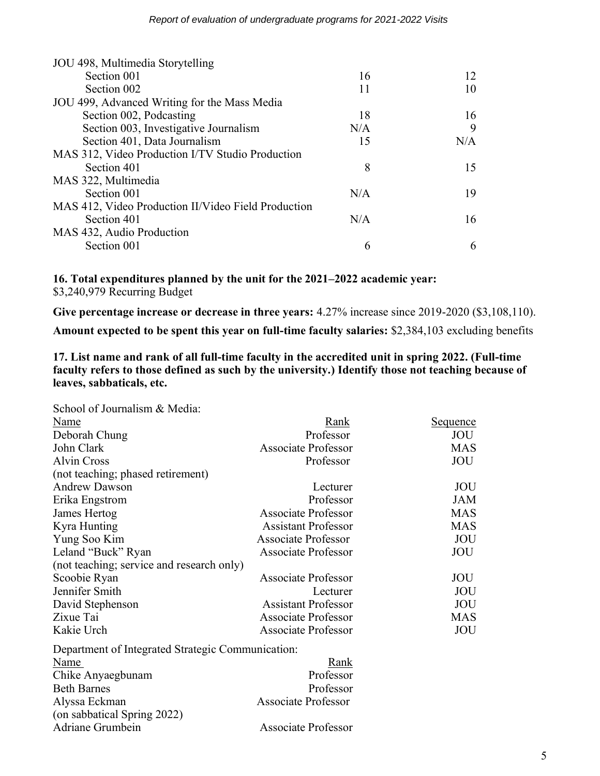| JOU 498, Multimedia Storytelling                    |     |     |
|-----------------------------------------------------|-----|-----|
| Section 001                                         | 16  | 12  |
| Section 002                                         | 11  | 10  |
| JOU 499, Advanced Writing for the Mass Media        |     |     |
| Section 002, Podcasting                             | 18  | 16  |
| Section 003, Investigative Journalism               | N/A | 9   |
| Section 401, Data Journalism                        | 15  | N/A |
| MAS 312, Video Production I/TV Studio Production    |     |     |
| Section 401                                         | 8   | 15  |
| MAS 322, Multimedia                                 |     |     |
| Section 001                                         | N/A | 19  |
| MAS 412, Video Production II/Video Field Production |     |     |
| Section 401                                         | N/A | 16  |
| MAS 432, Audio Production                           |     |     |
| Section 001                                         | 6   | 6   |
|                                                     |     |     |

**16. Total expenditures planned by the unit for the 2021–2022 academic year:** \$3,240,979 Recurring Budget

Give percentage increase or decrease in three years:  $4.27\%$  increase since  $2019-2020$  (\$3,108,110).

**Amount expected to be spent this year on full-time faculty salaries:** \$2,384,103 excluding benefits

**17. List name and rank of all full-time faculty in the accredited unit in spring 2022. (Full-time**  faculty refers to those defined as such by the university.) Identify those not teaching because of **leaves, sabbaticals, etc.**

| Rank                                              | <u>Sequence</u> |
|---------------------------------------------------|-----------------|
| Professor                                         | JOU             |
| <b>Associate Professor</b>                        | <b>MAS</b>      |
| Professor                                         | JOU             |
|                                                   |                 |
| Lecturer                                          | JOU             |
| Professor                                         | <b>JAM</b>      |
| Associate Professor                               | <b>MAS</b>      |
| <b>Assistant Professor</b>                        | <b>MAS</b>      |
| <b>Associate Professor</b>                        | JOU             |
| <b>Associate Professor</b>                        | JOU             |
| (not teaching; service and research only)         |                 |
| <b>Associate Professor</b>                        | JOU             |
| Lecturer                                          | JOU             |
| <b>Assistant Professor</b>                        | JOU             |
| <b>Associate Professor</b>                        | <b>MAS</b>      |
| <b>Associate Professor</b>                        | JOU             |
| Department of Integrated Strategic Communication: |                 |
| Rank                                              |                 |
| Professor                                         |                 |
| Professor                                         |                 |
| <b>Associate Professor</b>                        |                 |
|                                                   |                 |
| <b>Associate Professor</b>                        |                 |
|                                                   |                 |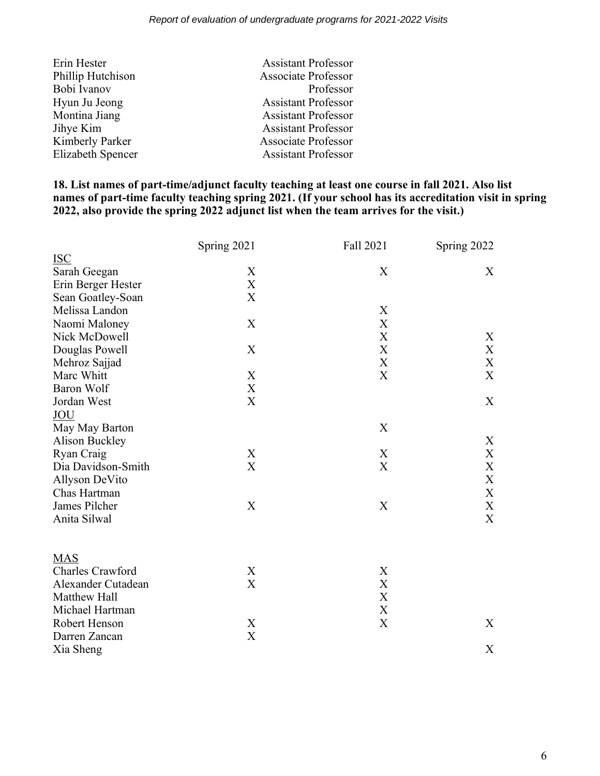| Erin Hester       | <b>Assistant Professor</b> |
|-------------------|----------------------------|
| Phillip Hutchison | <b>Associate Professor</b> |
| Bobi Ivanov       | Professor                  |
| Hyun Ju Jeong     | <b>Assistant Professor</b> |
| Montina Jiang     | <b>Assistant Professor</b> |
| Jihye Kim         | <b>Assistant Professor</b> |
| Kimberly Parker   | <b>Associate Professor</b> |
| Elizabeth Spencer | <b>Assistant Professor</b> |

## **18. List names of part-time/adjunct faculty teaching at least one course in fall 2021. Also list names of part-time faculty teaching spring 2021. (If your school has its accreditation visit in spring 2022, also provide the spring 2022 adjunct list when the team arrives for the visit.)**

|                         | Spring 2021 | Fall 2021                 | Spring 2022               |
|-------------------------|-------------|---------------------------|---------------------------|
| <b>ISC</b>              |             |                           |                           |
| Sarah Geegan            | X           | X                         | X                         |
| Erin Berger Hester      | X           |                           |                           |
| Sean Goatley-Soan       | X           |                           |                           |
| Melissa Landon          |             | X                         |                           |
| Naomi Maloney           | X           | X                         |                           |
| Nick McDowell           |             | X                         | X                         |
| Douglas Powell          | X           | $\boldsymbol{\mathrm{X}}$ | X                         |
| Mehroz Sajjad           |             | X                         | X                         |
| Marc Whitt              | X           | X                         | X                         |
| <b>Baron Wolf</b>       | X           |                           |                           |
| Jordan West             | X           |                           | X                         |
| <b>JOU</b>              |             |                           |                           |
| May May Barton          |             | X                         |                           |
| Alison Buckley          |             |                           | X                         |
| Ryan Craig              | X           | X                         | $\boldsymbol{\mathrm{X}}$ |
| Dia Davidson-Smith      | X           | X                         | X                         |
| Allyson DeVito          |             |                           | $\boldsymbol{\mathrm{X}}$ |
| Chas Hartman            |             |                           | X                         |
| James Pilcher           | X           | X                         | X                         |
| Anita Silwal            |             |                           | $\boldsymbol{\mathrm{X}}$ |
|                         |             |                           |                           |
| <b>MAS</b>              |             |                           |                           |
| <b>Charles Crawford</b> | X           | X                         |                           |
| Alexander Cutadean      | X           | X                         |                           |
| Matthew Hall            |             | $\boldsymbol{\mathrm{X}}$ |                           |
| Michael Hartman         |             | $\boldsymbol{\mathrm{X}}$ |                           |
| Robert Henson           | X           | $\mathbf X$               | X                         |
| Darren Zancan           | $\mathbf X$ |                           |                           |
| Xia Sheng               |             |                           | X                         |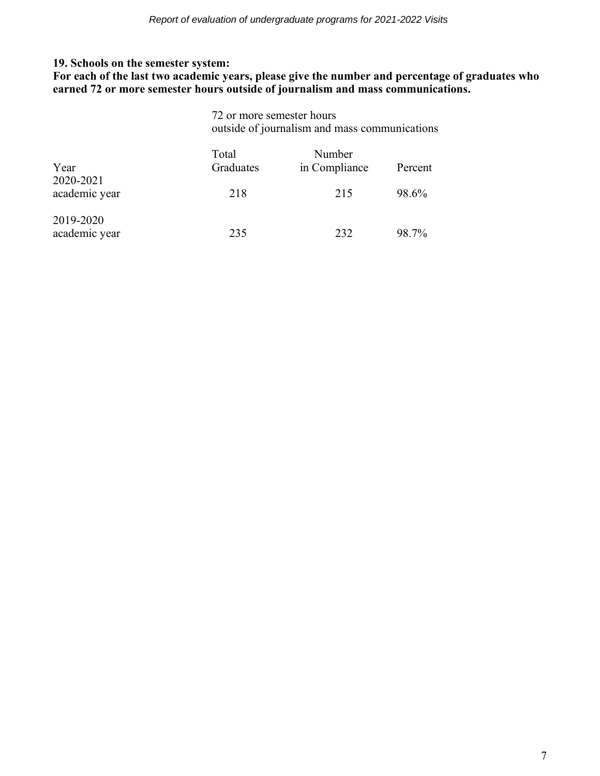## **19. Schools on the semester system:**

**For each of the last two academic years, please give the number and percentage of graduates who earned 72 or more semester hours outside of journalism and mass communications.**

> 72 or more semester hours outside of journalism and mass communications

| Year                       | Total<br>Graduates | Number<br>in Compliance | Percent |
|----------------------------|--------------------|-------------------------|---------|
| 2020-2021<br>academic year | 218                | 215                     | 98.6%   |
| 2019-2020<br>academic year | 235                | 232                     | 98.7%   |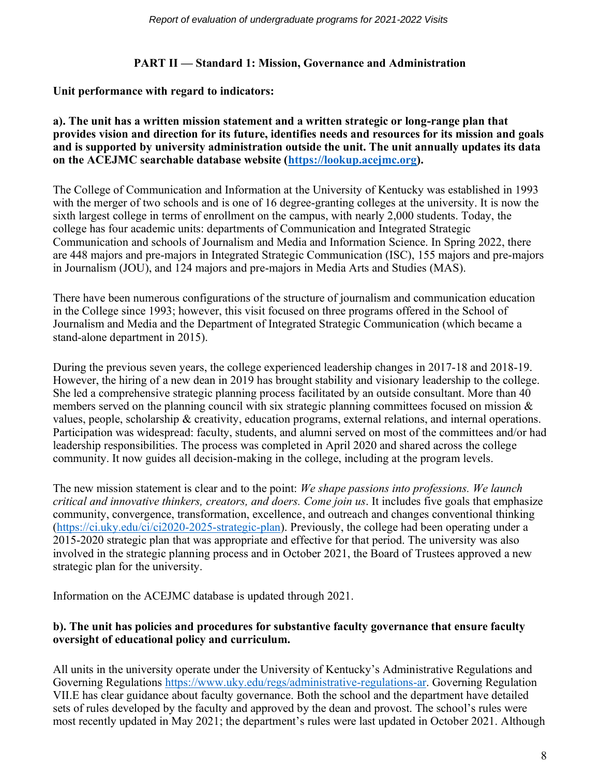# **PART II — Standard 1: Mission, Governance and Administration**

## **Unit performance with regard to indicators:**

#### **a). The unit has a written mission statement and a written strategic or long-range plan that provides vision and direction for its future, identifies needs and resources for its mission and goals and is supported by university administration outside the unit. The unit annually updates its data on the ACEJMC searchable database website [\(https://lookup.acejmc.org\)](https://lookup.acejmc.org/).**

The College of Communication and Information at the University of Kentucky was established in 1993 with the merger of two schools and is one of 16 degree-granting colleges at the university. It is now the sixth largest college in terms of enrollment on the campus, with nearly 2,000 students. Today, the college has four academic units: departments of Communication and Integrated Strategic Communication and schools of Journalism and Media and Information Science. In Spring 2022, there are 448 majors and pre-majors in Integrated Strategic Communication (ISC), 155 majors and pre-majors in Journalism (JOU), and 124 majors and pre-majors in Media Arts and Studies (MAS).

There have been numerous configurations of the structure of journalism and communication education in the College since 1993; however, this visit focused on three programs offered in the School of Journalism and Media and the Department of Integrated Strategic Communication (which became a stand-alone department in 2015).

During the previous seven years, the college experienced leadership changes in 2017-18 and 2018-19. However, the hiring of a new dean in 2019 has brought stability and visionary leadership to the college. She led a comprehensive strategic planning process facilitated by an outside consultant. More than 40 members served on the planning council with six strategic planning committees focused on mission  $\&$ values, people, scholarship & creativity, education programs, external relations, and internal operations. Participation was widespread: faculty, students, and alumni served on most of the committees and/or had leadership responsibilities. The process was completed in April 2020 and shared across the college community. It now guides all decision-making in the college, including at the program levels.

The new mission statement is clear and to the point: *We shape passions into professions. We launch critical and innovative thinkers, creators, and doers. Come join us*. It includes five goals that emphasize community, convergence, transformation, excellence, and outreach and changes conventional thinking [\(https://ci.uky.edu/ci/ci2020-2025-strategic-plan\)](https://ci.uky.edu/ci/ci2020-2025-strategic-plan). Previously, the college had been operating under a 2015-2020 strategic plan that was appropriate and effective for that period. The university was also involved in the strategic planning process and in October 2021, the Board of Trustees approved a new strategic plan for the university.

Information on the ACEJMC database is updated through 2021.

## **b). The unit has policies and procedures for substantive faculty governance that ensure faculty oversight of educational policy and curriculum.**

All units in the university operate under the University of Kentucky's Administrative Regulations and Governing Regulations [https://www.uky.edu/regs/administrative-regulations-ar.](https://www.uky.edu/regs/administrative-regulations-ar) Governing Regulation VII.E has clear guidance about faculty governance. Both the school and the department have detailed sets of rules developed by the faculty and approved by the dean and provost. The school's rules were most recently updated in May 2021; the department's rules were last updated in October 2021. Although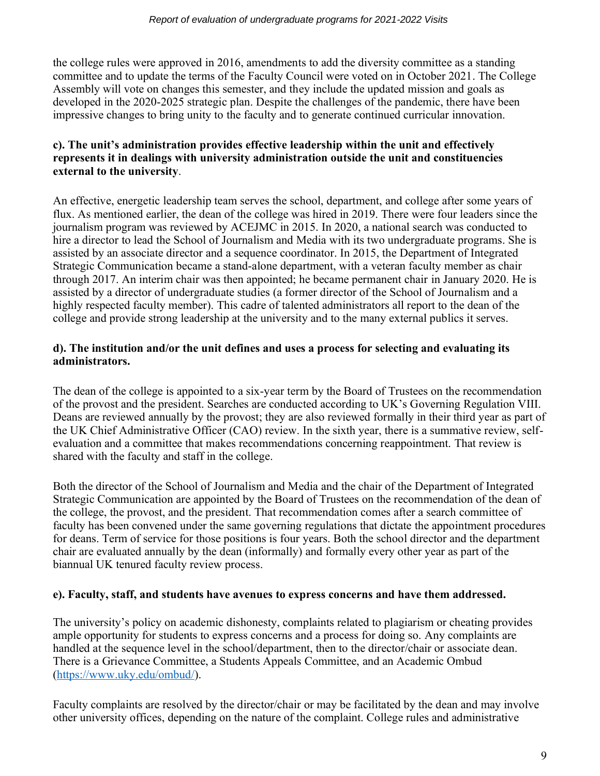the college rules were approved in 2016, amendments to add the diversity committee as a standing committee and to update the terms of the Faculty Council were voted on in October 2021. The College Assembly will vote on changes this semester, and they include the updated mission and goals as developed in the 2020-2025 strategic plan. Despite the challenges of the pandemic, there have been impressive changes to bring unity to the faculty and to generate continued curricular innovation.

# **c). The unit's administration provides effective leadership within the unit and effectively represents it in dealings with university administration outside the unit and constituencies external to the university**.

An effective, energetic leadership team serves the school, department, and college after some years of flux. As mentioned earlier, the dean of the college was hired in 2019. There were four leaders since the journalism program was reviewed by ACEJMC in 2015. In 2020, a national search was conducted to hire a director to lead the School of Journalism and Media with its two undergraduate programs. She is assisted by an associate director and a sequence coordinator. In 2015, the Department of Integrated Strategic Communication became a stand-alone department, with a veteran faculty member as chair through 2017. An interim chair was then appointed; he became permanent chair in January 2020. He is assisted by a director of undergraduate studies (a former director of the School of Journalism and a highly respected faculty member). This cadre of talented administrators all report to the dean of the college and provide strong leadership at the university and to the many external publics it serves.

# **d). The institution and/or the unit defines and uses a process for selecting and evaluating its administrators.**

The dean of the college is appointed to a six-year term by the Board of Trustees on the recommendation of the provost and the president. Searches are conducted according to UK's Governing Regulation VIII. Deans are reviewed annually by the provost; they are also reviewed formally in their third year as part of the UK Chief Administrative Officer (CAO) review. In the sixth year, there is a summative review, selfevaluation and a committee that makes recommendations concerning reappointment. That review is shared with the faculty and staff in the college.

Both the director of the School of Journalism and Media and the chair of the Department of Integrated Strategic Communication are appointed by the Board of Trustees on the recommendation of the dean of the college, the provost, and the president. That recommendation comes after a search committee of faculty has been convened under the same governing regulations that dictate the appointment procedures for deans. Term of service for those positions is four years. Both the school director and the department chair are evaluated annually by the dean (informally) and formally every other year as part of the biannual UK tenured faculty review process.

# **e). Faculty, staff, and students have avenues to express concerns and have them addressed.**

The university's policy on academic dishonesty, complaints related to plagiarism or cheating provides ample opportunity for students to express concerns and a process for doing so. Any complaints are handled at the sequence level in the school/department, then to the director/chair or associate dean. There is a Grievance Committee, a Students Appeals Committee, and an Academic Ombud [\(https://www.uky.edu/ombud/\)](https://www.uky.edu/ombud/).

Faculty complaints are resolved by the director/chair or may be facilitated by the dean and may involve other university offices, depending on the nature of the complaint. College rules and administrative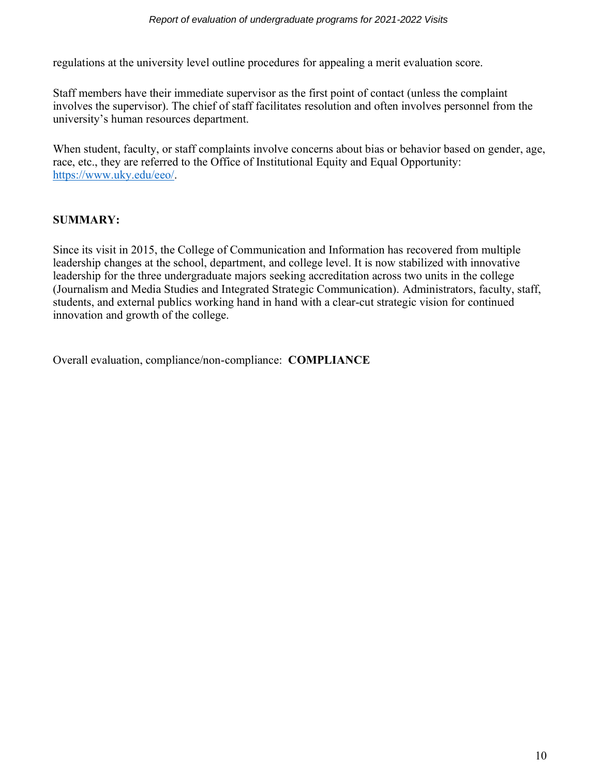regulations at the university level outline procedures for appealing a merit evaluation score.

Staff members have their immediate supervisor as the first point of contact (unless the complaint involves the supervisor). The chief of staff facilitates resolution and often involves personnel from the university's human resources department.

When student, faculty, or staff complaints involve concerns about bias or behavior based on gender, age, race, etc., they are referred to the Office of Institutional Equity and Equal Opportunity: [https://www.uky.edu/eeo/.](https://www.uky.edu/eeo/)

# **SUMMARY:**

Since its visit in 2015, the College of Communication and Information has recovered from multiple leadership changes at the school, department, and college level. It is now stabilized with innovative leadership for the three undergraduate majors seeking accreditation across two units in the college (Journalism and Media Studies and Integrated Strategic Communication). Administrators, faculty, staff, students, and external publics working hand in hand with a clear-cut strategic vision for continued innovation and growth of the college.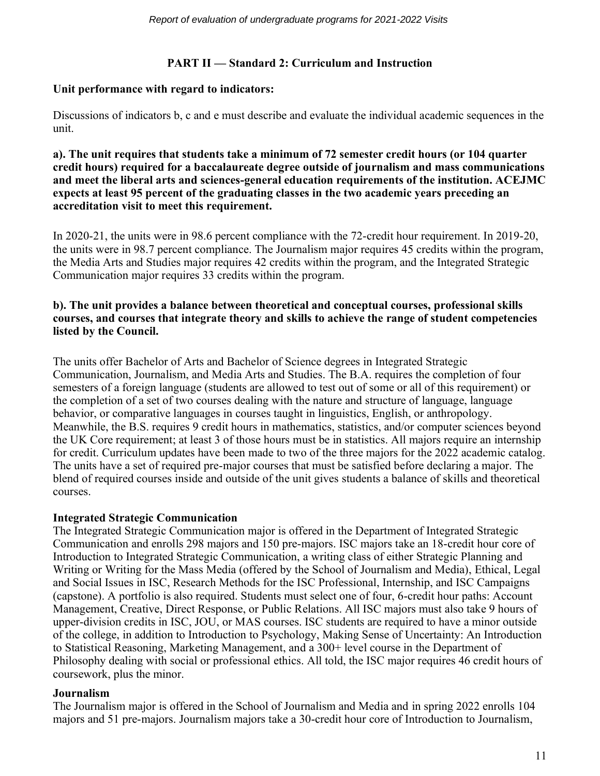# **PART II — Standard 2: Curriculum and Instruction**

## **Unit performance with regard to indicators:**

Discussions of indicators b, c and e must describe and evaluate the individual academic sequences in the unit.

**a). The unit requires that students take a minimum of 72 semester credit hours (or 104 quarter credit hours) required for a baccalaureate degree outside of journalism and mass communications and meet the liberal arts and sciences-general education requirements of the institution. ACEJMC expects at least 95 percent of the graduating classes in the two academic years preceding an accreditation visit to meet this requirement.**

In 2020-21, the units were in 98.6 percent compliance with the 72-credit hour requirement. In 2019-20, the units were in 98.7 percent compliance. The Journalism major requires 45 credits within the program, the Media Arts and Studies major requires 42 credits within the program, and the Integrated Strategic Communication major requires 33 credits within the program.

#### **b). The unit provides a balance between theoretical and conceptual courses, professional skills courses, and courses that integrate theory and skills to achieve the range of student competencies listed by the Council.**

The units offer Bachelor of Arts and Bachelor of Science degrees in Integrated Strategic Communication, Journalism, and Media Arts and Studies. The B.A. requires the completion of four semesters of a foreign language (students are allowed to test out of some or all of this requirement) or the completion of a set of two courses dealing with the nature and structure of language, language behavior, or comparative languages in courses taught in linguistics, English, or anthropology. Meanwhile, the B.S. requires 9 credit hours in mathematics, statistics, and/or computer sciences beyond the UK Core requirement; at least 3 of those hours must be in statistics. All majors require an internship for credit. Curriculum updates have been made to two of the three majors for the 2022 academic catalog. The units have a set of required pre-major courses that must be satisfied before declaring a major. The blend of required courses inside and outside of the unit gives students a balance of skills and theoretical courses.

# **Integrated Strategic Communication**

The Integrated Strategic Communication major is offered in the Department of Integrated Strategic Communication and enrolls 298 majors and 150 pre-majors. ISC majors take an 18-credit hour core of Introduction to Integrated Strategic Communication, a writing class of either Strategic Planning and Writing or Writing for the Mass Media (offered by the School of Journalism and Media), Ethical, Legal and Social Issues in ISC, Research Methods for the ISC Professional, Internship, and ISC Campaigns (capstone). A portfolio is also required. Students must select one of four, 6-credit hour paths: Account Management, Creative, Direct Response, or Public Relations. All ISC majors must also take 9 hours of upper-division credits in ISC, JOU, or MAS courses. ISC students are required to have a minor outside of the college, in addition to Introduction to Psychology, Making Sense of Uncertainty: An Introduction to Statistical Reasoning, Marketing Management, and a 300+ level course in the Department of Philosophy dealing with social or professional ethics. All told, the ISC major requires 46 credit hours of coursework, plus the minor.

# **Journalism**

The Journalism major is offered in the School of Journalism and Media and in spring 2022 enrolls 104 majors and 51 pre-majors. Journalism majors take a 30-credit hour core of Introduction to Journalism,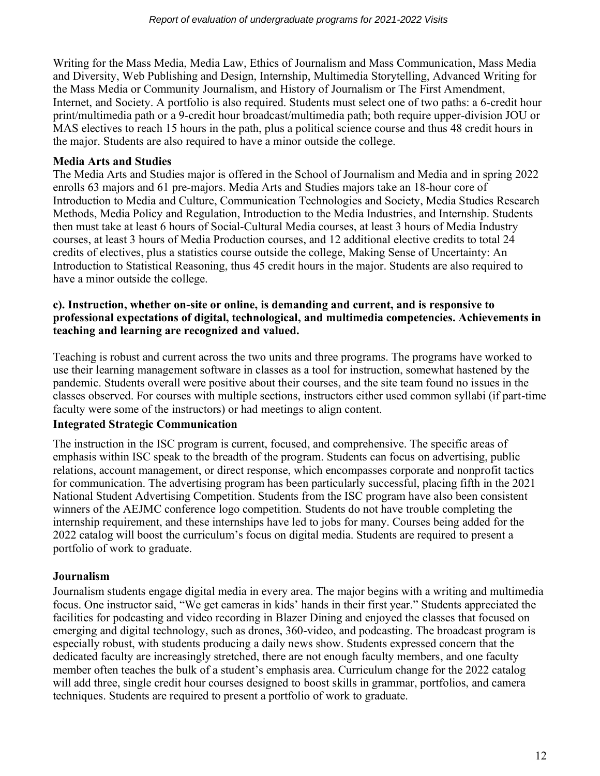Writing for the Mass Media, Media Law, Ethics of Journalism and Mass Communication, Mass Media and Diversity, Web Publishing and Design, Internship, Multimedia Storytelling, Advanced Writing for the Mass Media or Community Journalism, and History of Journalism or The First Amendment, Internet, and Society. A portfolio is also required. Students must select one of two paths: a 6-credit hour print/multimedia path or a 9-credit hour broadcast/multimedia path; both require upper-division JOU or MAS electives to reach 15 hours in the path, plus a political science course and thus 48 credit hours in the major. Students are also required to have a minor outside the college.

# **Media Arts and Studies**

The Media Arts and Studies major is offered in the School of Journalism and Media and in spring 2022 enrolls 63 majors and 61 pre-majors. Media Arts and Studies majors take an 18-hour core of Introduction to Media and Culture, Communication Technologies and Society, Media Studies Research Methods, Media Policy and Regulation, Introduction to the Media Industries, and Internship. Students then must take at least 6 hours of Social-Cultural Media courses, at least 3 hours of Media Industry courses, at least 3 hours of Media Production courses, and 12 additional elective credits to total 24 credits of electives, plus a statistics course outside the college, Making Sense of Uncertainty: An Introduction to Statistical Reasoning, thus 45 credit hours in the major. Students are also required to have a minor outside the college.

#### **c). Instruction, whether on-site or online, is demanding and current, and is responsive to professional expectations of digital, technological, and multimedia competencies. Achievements in teaching and learning are recognized and valued.**

Teaching is robust and current across the two units and three programs. The programs have worked to use their learning management software in classes as a tool for instruction, somewhat hastened by the pandemic. Students overall were positive about their courses, and the site team found no issues in the classes observed. For courses with multiple sections, instructors either used common syllabi (if part-time faculty were some of the instructors) or had meetings to align content.

#### **Integrated Strategic Communication**

The instruction in the ISC program is current, focused, and comprehensive. The specific areas of emphasis within ISC speak to the breadth of the program. Students can focus on advertising, public relations, account management, or direct response, which encompasses corporate and nonprofit tactics for communication. The advertising program has been particularly successful, placing fifth in the 2021 National Student Advertising Competition. Students from the ISC program have also been consistent winners of the AEJMC conference logo competition. Students do not have trouble completing the internship requirement, and these internships have led to jobs for many. Courses being added for the 2022 catalog will boost the curriculum's focus on digital media. Students are required to present a portfolio of work to graduate.

# **Journalism**

Journalism students engage digital media in every area. The major begins with a writing and multimedia focus. One instructor said, "We get cameras in kids' hands in their first year." Students appreciated the facilities for podcasting and video recording in Blazer Dining and enjoyed the classes that focused on emerging and digital technology, such as drones, 360-video, and podcasting. The broadcast program is especially robust, with students producing a daily news show. Students expressed concern that the dedicated faculty are increasingly stretched, there are not enough faculty members, and one faculty member often teaches the bulk of a student's emphasis area. Curriculum change for the 2022 catalog will add three, single credit hour courses designed to boost skills in grammar, portfolios, and camera techniques. Students are required to present a portfolio of work to graduate.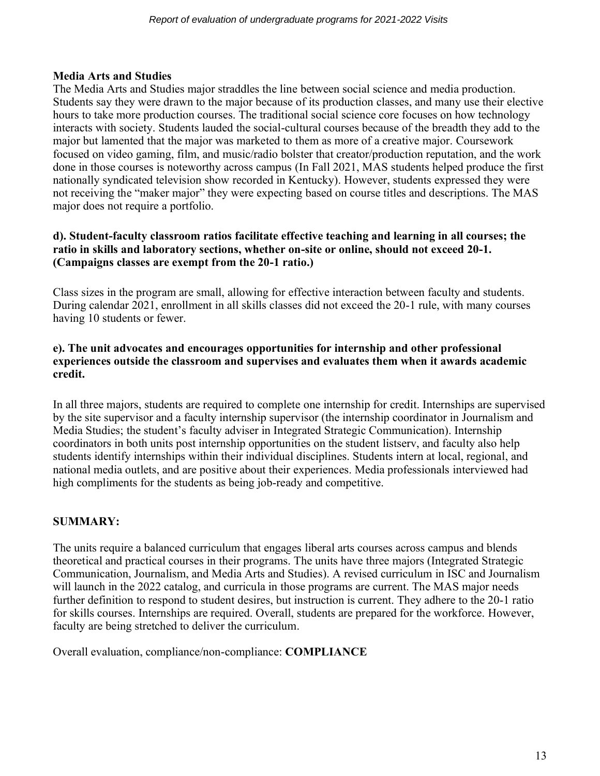# **Media Arts and Studies**

The Media Arts and Studies major straddles the line between social science and media production. Students say they were drawn to the major because of its production classes, and many use their elective hours to take more production courses. The traditional social science core focuses on how technology interacts with society. Students lauded the social-cultural courses because of the breadth they add to the major but lamented that the major was marketed to them as more of a creative major. Coursework focused on video gaming, film, and music/radio bolster that creator/production reputation, and the work done in those courses is noteworthy across campus (In Fall 2021, MAS students helped produce the first nationally syndicated television show recorded in Kentucky). However, students expressed they were not receiving the "maker major" they were expecting based on course titles and descriptions. The MAS major does not require a portfolio.

## **d). Student-faculty classroom ratios facilitate effective teaching and learning in all courses; the ratio in skills and laboratory sections, whether on-site or online, should not exceed 20-1. (Campaigns classes are exempt from the 20-1 ratio.)**

Class sizes in the program are small, allowing for effective interaction between faculty and students. During calendar 2021, enrollment in all skills classes did not exceed the 20-1 rule, with many courses having 10 students or fewer.

## **e). The unit advocates and encourages opportunities for internship and other professional experiences outside the classroom and supervises and evaluates them when it awards academic credit.**

In all three majors, students are required to complete one internship for credit. Internships are supervised by the site supervisor and a faculty internship supervisor (the internship coordinator in Journalism and Media Studies; the student's faculty adviser in Integrated Strategic Communication). Internship coordinators in both units post internship opportunities on the student listserv, and faculty also help students identify internships within their individual disciplines. Students intern at local, regional, and national media outlets, and are positive about their experiences. Media professionals interviewed had high compliments for the students as being job-ready and competitive.

# **SUMMARY:**

The units require a balanced curriculum that engages liberal arts courses across campus and blends theoretical and practical courses in their programs. The units have three majors (Integrated Strategic Communication, Journalism, and Media Arts and Studies). A revised curriculum in ISC and Journalism will launch in the 2022 catalog, and curricula in those programs are current. The MAS major needs further definition to respond to student desires, but instruction is current. They adhere to the 20-1 ratio for skills courses. Internships are required. Overall, students are prepared for the workforce. However, faculty are being stretched to deliver the curriculum.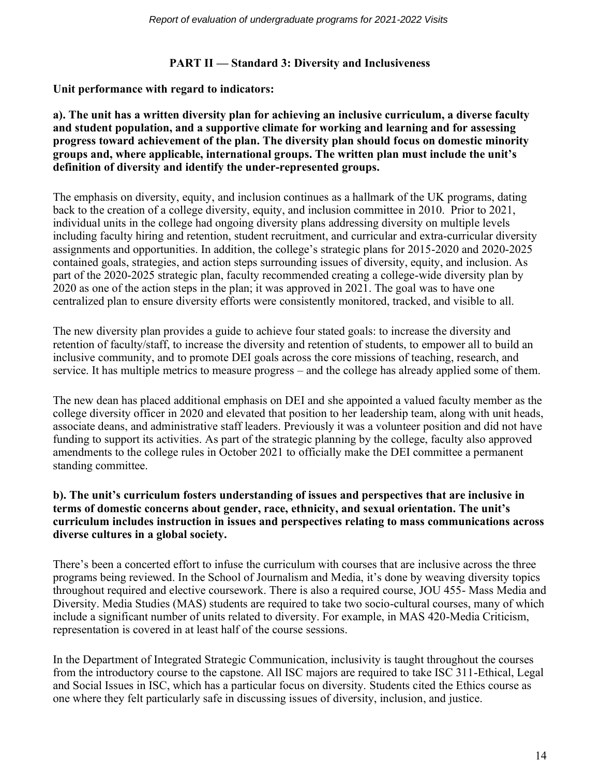## **PART II — Standard 3: Diversity and Inclusiveness**

**Unit performance with regard to indicators:**

**a). The unit has a written diversity plan for achieving an inclusive curriculum, a diverse faculty and student population, and a supportive climate for working and learning and for assessing progress toward achievement of the plan. The diversity plan should focus on domestic minority groups and, where applicable, international groups. The written plan must include the unit's definition of diversity and identify the under-represented groups.**

The emphasis on diversity, equity, and inclusion continues as a hallmark of the UK programs, dating back to the creation of a college diversity, equity, and inclusion committee in 2010. Prior to 2021, individual units in the college had ongoing diversity plans addressing diversity on multiple levels including faculty hiring and retention, student recruitment, and curricular and extra-curricular diversity assignments and opportunities. In addition, the college's strategic plans for 2015-2020 and 2020-2025 contained goals, strategies, and action steps surrounding issues of diversity, equity, and inclusion. As part of the 2020-2025 strategic plan, faculty recommended creating a college-wide diversity plan by 2020 as one of the action steps in the plan; it was approved in 2021. The goal was to have one centralized plan to ensure diversity efforts were consistently monitored, tracked, and visible to all.

The new diversity plan provides a guide to achieve four stated goals: to increase the diversity and retention of faculty/staff, to increase the diversity and retention of students, to empower all to build an inclusive community, and to promote DEI goals across the core missions of teaching, research, and service. It has multiple metrics to measure progress – and the college has already applied some of them.

The new dean has placed additional emphasis on DEI and she appointed a valued faculty member as the college diversity officer in 2020 and elevated that position to her leadership team, along with unit heads, associate deans, and administrative staff leaders. Previously it was a volunteer position and did not have funding to support its activities. As part of the strategic planning by the college, faculty also approved amendments to the college rules in October 2021 to officially make the DEI committee a permanent standing committee.

## **b). The unit's curriculum fosters understanding of issues and perspectives that are inclusive in terms of domestic concerns about gender, race, ethnicity, and sexual orientation. The unit's curriculum includes instruction in issues and perspectives relating to mass communications across diverse cultures in a global society.**

There's been a concerted effort to infuse the curriculum with courses that are inclusive across the three programs being reviewed. In the School of Journalism and Media, it's done by weaving diversity topics throughout required and elective coursework. There is also a required course, JOU 455- Mass Media and Diversity. Media Studies (MAS) students are required to take two socio-cultural courses, many of which include a significant number of units related to diversity. For example, in MAS 420-Media Criticism, representation is covered in at least half of the course sessions.

In the Department of Integrated Strategic Communication, inclusivity is taught throughout the courses from the introductory course to the capstone. All ISC majors are required to take ISC 311-Ethical, Legal and Social Issues in ISC, which has a particular focus on diversity. Students cited the Ethics course as one where they felt particularly safe in discussing issues of diversity, inclusion, and justice.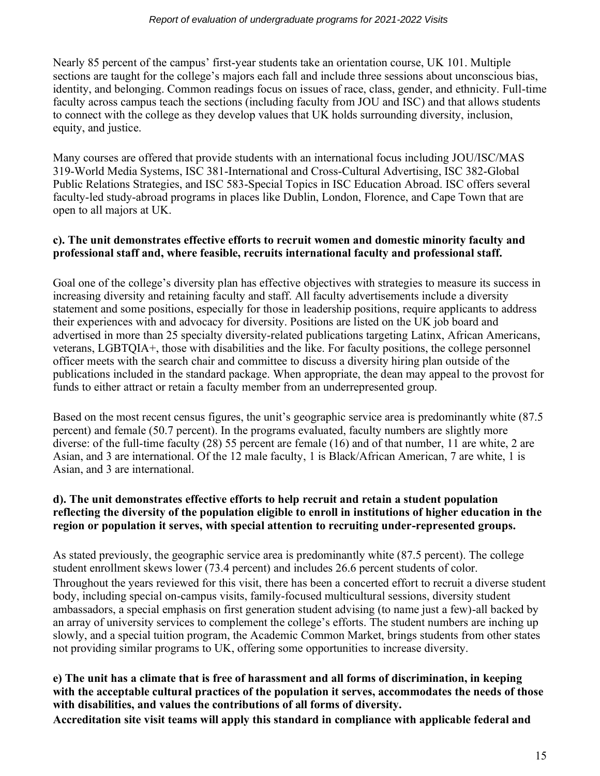#### *Report of evaluation of undergraduate programs for 2021-2022 Visits*

Nearly 85 percent of the campus' first-year students take an orientation course, UK 101. Multiple sections are taught for the college's majors each fall and include three sessions about unconscious bias, identity, and belonging. Common readings focus on issues of race, class, gender, and ethnicity. Full-time faculty across campus teach the sections (including faculty from JOU and ISC) and that allows students to connect with the college as they develop values that UK holds surrounding diversity, inclusion, equity, and justice.

Many courses are offered that provide students with an international focus including JOU/ISC/MAS 319-World Media Systems, ISC 381-International and Cross-Cultural Advertising, ISC 382-Global Public Relations Strategies, and ISC 583-Special Topics in ISC Education Abroad. ISC offers several faculty-led study-abroad programs in places like Dublin, London, Florence, and Cape Town that are open to all majors at UK.

#### **c). The unit demonstrates effective efforts to recruit women and domestic minority faculty and professional staff and, where feasible, recruits international faculty and professional staff.**

Goal one of the college's diversity plan has effective objectives with strategies to measure its success in increasing diversity and retaining faculty and staff. All faculty advertisements include a diversity statement and some positions, especially for those in leadership positions, require applicants to address their experiences with and advocacy for diversity. Positions are listed on the UK job board and advertised in more than 25 specialty diversity-related publications targeting Latinx, African Americans, veterans, LGBTQIA+, those with disabilities and the like. For faculty positions, the college personnel officer meets with the search chair and committee to discuss a diversity hiring plan outside of the publications included in the standard package. When appropriate, the dean may appeal to the provost for funds to either attract or retain a faculty member from an underrepresented group.

Based on the most recent census figures, the unit's geographic service area is predominantly white (87.5 percent) and female (50.7 percent). In the programs evaluated, faculty numbers are slightly more diverse: of the full-time faculty (28) 55 percent are female (16) and of that number, 11 are white, 2 are Asian, and 3 are international. Of the 12 male faculty, 1 is Black/African American, 7 are white, 1 is Asian, and 3 are international.

## **d). The unit demonstrates effective efforts to help recruit and retain a student population reflecting the diversity of the population eligible to enroll in institutions of higher education in the region or population it serves, with special attention to recruiting under-represented groups.**

As stated previously, the geographic service area is predominantly white (87.5 percent). The college student enrollment skews lower (73.4 percent) and includes 26.6 percent students of color. Throughout the years reviewed for this visit, there has been a concerted effort to recruit a diverse student body, including special on-campus visits, family-focused multicultural sessions, diversity student ambassadors, a special emphasis on first generation student advising (to name just a few)-all backed by an array of university services to complement the college's efforts. The student numbers are inching up slowly, and a special tuition program, the Academic Common Market, brings students from other states not providing similar programs to UK, offering some opportunities to increase diversity.

# **e) The unit has a climate that is free of harassment and all forms of discrimination, in keeping with the acceptable cultural practices of the population it serves, accommodates the needs of those with disabilities, and values the contributions of all forms of diversity.**

**Accreditation site visit teams will apply this standard in compliance with applicable federal and**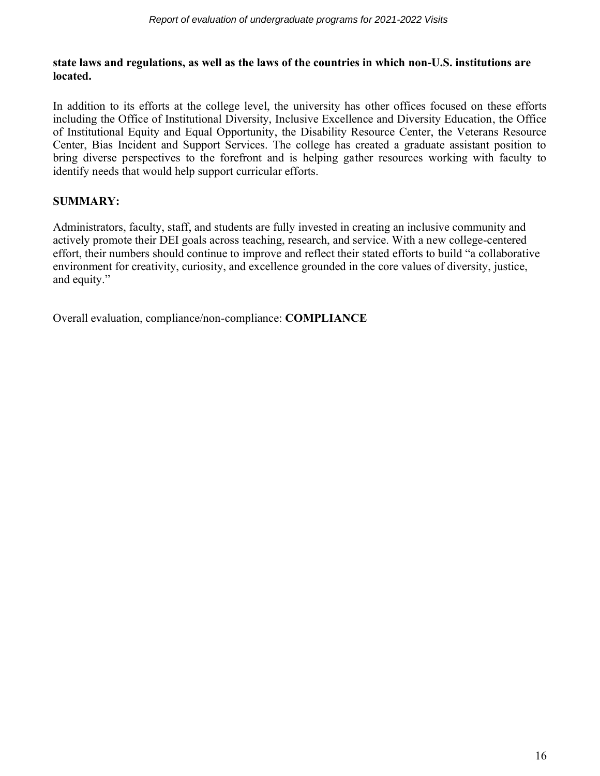#### **state laws and regulations, as well as the laws of the countries in which non-U.S. institutions are located.**

In addition to its efforts at the college level, the university has other offices focused on these efforts including the Office of Institutional Diversity, Inclusive Excellence and Diversity Education, the Office of Institutional Equity and Equal Opportunity, the Disability Resource Center, the Veterans Resource Center, Bias Incident and Support Services. The college has created a graduate assistant position to bring diverse perspectives to the forefront and is helping gather resources working with faculty to identify needs that would help support curricular efforts.

# **SUMMARY:**

Administrators, faculty, staff, and students are fully invested in creating an inclusive community and actively promote their DEI goals across teaching, research, and service. With a new college-centered effort, their numbers should continue to improve and reflect their stated efforts to build "a collaborative environment for creativity, curiosity, and excellence grounded in the core values of diversity, justice, and equity."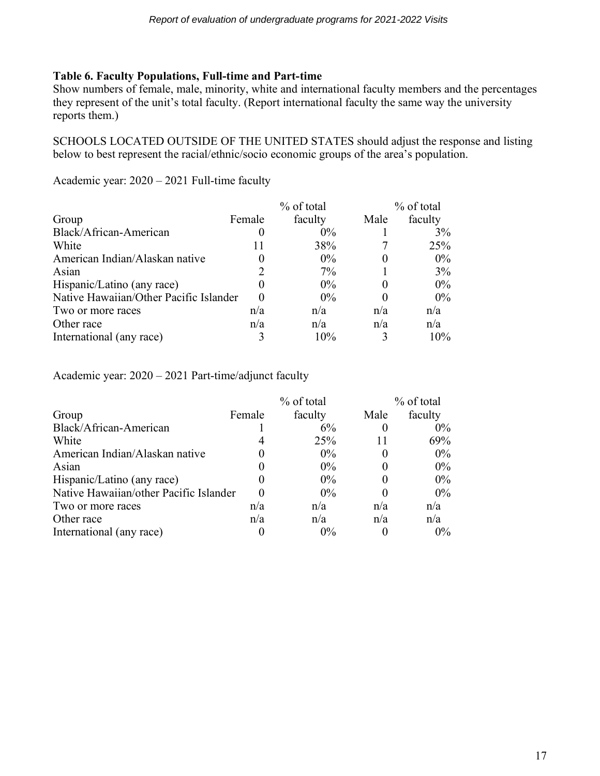# **Table 6. Faculty Populations, Full-time and Part-time**

Show numbers of female, male, minority, white and international faculty members and the percentages they represent of the unit's total faculty. (Report international faculty the same way the university reports them.)

SCHOOLS LOCATED OUTSIDE OF THE UNITED STATES should adjust the response and listing below to best represent the racial/ethnic/socio economic groups of the area's population.

Academic year: 2020 – 2021 Full-time faculty

|                                        |        | % of total | % of total |         |
|----------------------------------------|--------|------------|------------|---------|
| Group                                  | Female | faculty    | Male       | faculty |
| Black/African-American                 | O      | $0\%$      |            | 3%      |
| White                                  | 11     | 38%        |            | 25%     |
| American Indian/Alaskan native         |        | $0\%$      |            | $0\%$   |
| Asian                                  |        | 7%         |            | 3%      |
| Hispanic/Latino (any race)             |        | $0\%$      |            | $0\%$   |
| Native Hawaiian/Other Pacific Islander |        | $0\%$      |            | $0\%$   |
| Two or more races                      | n/a    | n/a        | n/a        | n/a     |
| Other race                             | n/a    | n/a        | n/a        | n/a     |
| International (any race)               |        | 10%        |            | 10%     |

Academic year: 2020 – 2021 Part-time/adjunct faculty

|                                        |        | % of total |      | % of total |  |  |
|----------------------------------------|--------|------------|------|------------|--|--|
| Group                                  | Female | faculty    | Male | faculty    |  |  |
| Black/African-American                 |        | 6%         |      | $0\%$      |  |  |
| White                                  |        | 25%        |      | 69%        |  |  |
| American Indian/Alaskan native         |        | $0\%$      |      | $0\%$      |  |  |
| Asian                                  |        | $0\%$      |      | $0\%$      |  |  |
| Hispanic/Latino (any race)             |        | $0\%$      |      | $0\%$      |  |  |
| Native Hawaiian/other Pacific Islander |        | $0\%$      |      | $0\%$      |  |  |
| Two or more races                      | n/a    | n/a        | n/a  | n/a        |  |  |
| Other race                             | n/a    | n/a        | n/a  | n/a        |  |  |
| International (any race)               |        | $0\%$      |      | $0\%$      |  |  |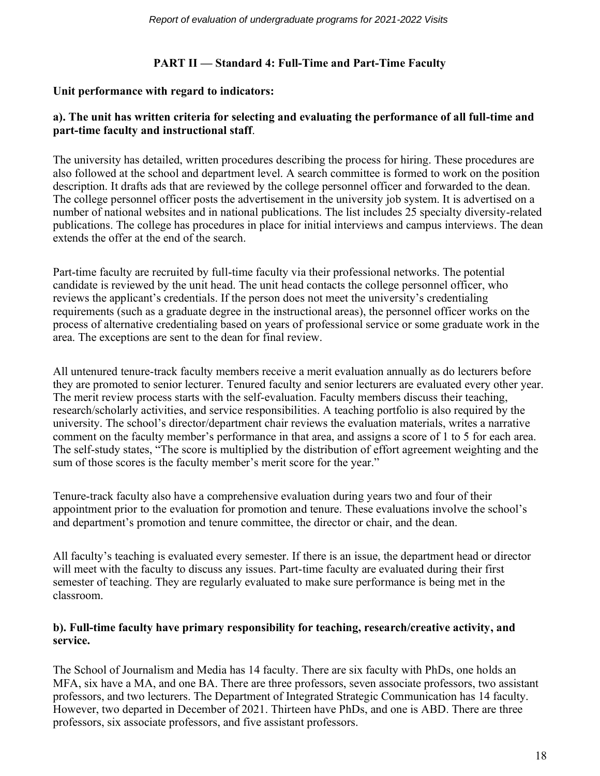# **PART II — Standard 4: Full-Time and Part-Time Faculty**

## **Unit performance with regard to indicators:**

## **a). The unit has written criteria for selecting and evaluating the performance of all full-time and part-time faculty and instructional staff**.

The university has detailed, written procedures describing the process for hiring. These procedures are also followed at the school and department level. A search committee is formed to work on the position description. It drafts ads that are reviewed by the college personnel officer and forwarded to the dean. The college personnel officer posts the advertisement in the university job system. It is advertised on a number of national websites and in national publications. The list includes 25 specialty diversity-related publications. The college has procedures in place for initial interviews and campus interviews. The dean extends the offer at the end of the search.

Part-time faculty are recruited by full-time faculty via their professional networks. The potential candidate is reviewed by the unit head. The unit head contacts the college personnel officer, who reviews the applicant's credentials. If the person does not meet the university's credentialing requirements (such as a graduate degree in the instructional areas), the personnel officer works on the process of alternative credentialing based on years of professional service or some graduate work in the area. The exceptions are sent to the dean for final review.

All untenured tenure-track faculty members receive a merit evaluation annually as do lecturers before they are promoted to senior lecturer. Tenured faculty and senior lecturers are evaluated every other year. The merit review process starts with the self-evaluation. Faculty members discuss their teaching, research/scholarly activities, and service responsibilities. A teaching portfolio is also required by the university. The school's director/department chair reviews the evaluation materials, writes a narrative comment on the faculty member's performance in that area, and assigns a score of 1 to 5 for each area. The self-study states, "The score is multiplied by the distribution of effort agreement weighting and the sum of those scores is the faculty member's merit score for the year."

Tenure-track faculty also have a comprehensive evaluation during years two and four of their appointment prior to the evaluation for promotion and tenure. These evaluations involve the school's and department's promotion and tenure committee, the director or chair, and the dean.

All faculty's teaching is evaluated every semester. If there is an issue, the department head or director will meet with the faculty to discuss any issues. Part-time faculty are evaluated during their first semester of teaching. They are regularly evaluated to make sure performance is being met in the classroom.

## **b). Full-time faculty have primary responsibility for teaching, research/creative activity, and service.**

The School of Journalism and Media has 14 faculty. There are six faculty with PhDs, one holds an MFA, six have a MA, and one BA. There are three professors, seven associate professors, two assistant professors, and two lecturers. The Department of Integrated Strategic Communication has 14 faculty. However, two departed in December of 2021. Thirteen have PhDs, and one is ABD. There are three professors, six associate professors, and five assistant professors.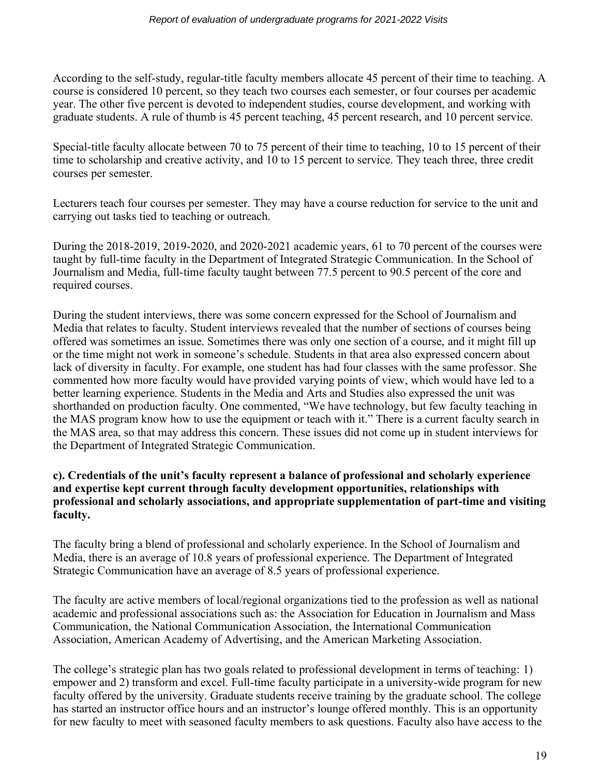According to the self-study, regular-title faculty members allocate 45 percent of their time to teaching. A course is considered 10 percent, so they teach two courses each semester, or four courses per academic year. The other five percent is devoted to independent studies, course development, and working with graduate students. A rule of thumb is 45 percent teaching, 45 percent research, and 10 percent service.

Special-title faculty allocate between 70 to 75 percent of their time to teaching, 10 to 15 percent of their time to scholarship and creative activity, and 10 to 15 percent to service. They teach three, three credit courses per semester.

Lecturers teach four courses per semester. They may have a course reduction for service to the unit and carrying out tasks tied to teaching or outreach.

During the 2018-2019, 2019-2020, and 2020-2021 academic years, 61 to 70 percent of the courses were taught by full-time faculty in the Department of Integrated Strategic Communication. In the School of Journalism and Media, full-time faculty taught between 77.5 percent to 90.5 percent of the core and required courses.

During the student interviews, there was some concern expressed for the School of Journalism and Media that relates to faculty. Student interviews revealed that the number of sections of courses being offered was sometimes an issue. Sometimes there was only one section of a course, and it might fill up or the time might not work in someone's schedule. Students in that area also expressed concern about lack of diversity in faculty. For example, one student has had four classes with the same professor. She commented how more faculty would have provided varying points of view, which would have led to a better learning experience. Students in the Media and Arts and Studies also expressed the unit was shorthanded on production faculty. One commented, "We have technology, but few faculty teaching in the MAS program know how to use the equipment or teach with it." There is a current faculty search in the MAS area, so that may address this concern. These issues did not come up in student interviews for the Department of Integrated Strategic Communication.

# **c). Credentials of the unit's faculty represent a balance of professional and scholarly experience and expertise kept current through faculty development opportunities, relationships with professional and scholarly associations, and appropriate supplementation of part-time and visiting faculty.**

The faculty bring a blend of professional and scholarly experience. In the School of Journalism and Media, there is an average of 10.8 years of professional experience. The Department of Integrated Strategic Communication have an average of 8.5 years of professional experience.

The faculty are active members of local/regional organizations tied to the profession as well as national academic and professional associations such as: the Association for Education in Journalism and Mass Communication, the National Communication Association, the International Communication Association, American Academy of Advertising, and the American Marketing Association.

The college's strategic plan has two goals related to professional development in terms of teaching: 1) empower and 2) transform and excel. Full-time faculty participate in a university-wide program for new faculty offered by the university. Graduate students receive training by the graduate school. The college has started an instructor office hours and an instructor's lounge offered monthly. This is an opportunity for new faculty to meet with seasoned faculty members to ask questions. Faculty also have access to the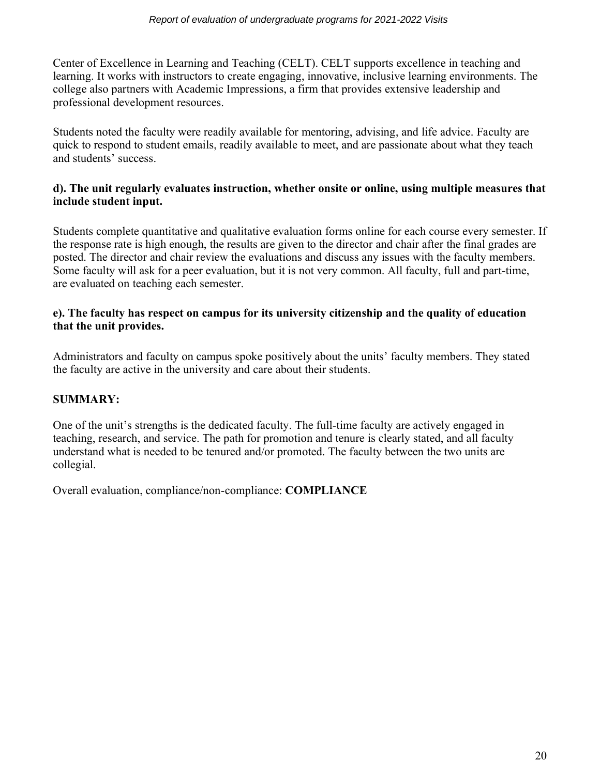Center of Excellence in Learning and Teaching (CELT). CELT supports excellence in teaching and learning. It works with instructors to create engaging, innovative, inclusive learning environments. The college also partners with Academic Impressions, a firm that provides extensive leadership and professional development resources.

Students noted the faculty were readily available for mentoring, advising, and life advice. Faculty are quick to respond to student emails, readily available to meet, and are passionate about what they teach and students' success.

# **d). The unit regularly evaluates instruction, whether onsite or online, using multiple measures that include student input.**

Students complete quantitative and qualitative evaluation forms online for each course every semester. If the response rate is high enough, the results are given to the director and chair after the final grades are posted. The director and chair review the evaluations and discuss any issues with the faculty members. Some faculty will ask for a peer evaluation, but it is not very common. All faculty, full and part-time, are evaluated on teaching each semester.

# **e). The faculty has respect on campus for its university citizenship and the quality of education that the unit provides.**

Administrators and faculty on campus spoke positively about the units' faculty members. They stated the faculty are active in the university and care about their students.

# **SUMMARY:**

One of the unit's strengths is the dedicated faculty. The full-time faculty are actively engaged in teaching, research, and service. The path for promotion and tenure is clearly stated, and all faculty understand what is needed to be tenured and/or promoted. The faculty between the two units are collegial.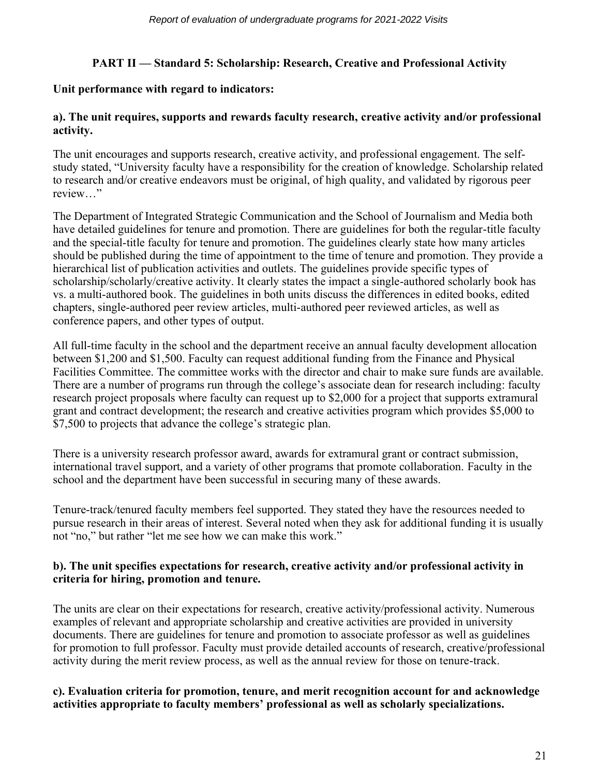# **PART II — Standard 5: Scholarship: Research, Creative and Professional Activity**

## **Unit performance with regard to indicators:**

#### **a). The unit requires, supports and rewards faculty research, creative activity and/or professional activity.**

The unit encourages and supports research, creative activity, and professional engagement. The selfstudy stated, "University faculty have a responsibility for the creation of knowledge. Scholarship related to research and/or creative endeavors must be original, of high quality, and validated by rigorous peer review…"

The Department of Integrated Strategic Communication and the School of Journalism and Media both have detailed guidelines for tenure and promotion. There are guidelines for both the regular-title faculty and the special-title faculty for tenure and promotion. The guidelines clearly state how many articles should be published during the time of appointment to the time of tenure and promotion. They provide a hierarchical list of publication activities and outlets. The guidelines provide specific types of scholarship/scholarly/creative activity. It clearly states the impact a single-authored scholarly book has vs. a multi-authored book. The guidelines in both units discuss the differences in edited books, edited chapters, single-authored peer review articles, multi-authored peer reviewed articles, as well as conference papers, and other types of output.

All full-time faculty in the school and the department receive an annual faculty development allocation between \$1,200 and \$1,500. Faculty can request additional funding from the Finance and Physical Facilities Committee. The committee works with the director and chair to make sure funds are available. There are a number of programs run through the college's associate dean for research including: faculty research project proposals where faculty can request up to \$2,000 for a project that supports extramural grant and contract development; the research and creative activities program which provides \$5,000 to \$7,500 to projects that advance the college's strategic plan.

There is a university research professor award, awards for extramural grant or contract submission, international travel support, and a variety of other programs that promote collaboration. Faculty in the school and the department have been successful in securing many of these awards.

Tenure-track/tenured faculty members feel supported. They stated they have the resources needed to pursue research in their areas of interest. Several noted when they ask for additional funding it is usually not "no," but rather "let me see how we can make this work."

## **b). The unit specifies expectations for research, creative activity and/or professional activity in criteria for hiring, promotion and tenure.**

The units are clear on their expectations for research, creative activity/professional activity. Numerous examples of relevant and appropriate scholarship and creative activities are provided in university documents. There are guidelines for tenure and promotion to associate professor as well as guidelines for promotion to full professor. Faculty must provide detailed accounts of research, creative/professional activity during the merit review process, as well as the annual review for those on tenure-track.

## **c). Evaluation criteria for promotion, tenure, and merit recognition account for and acknowledge activities appropriate to faculty members' professional as well as scholarly specializations.**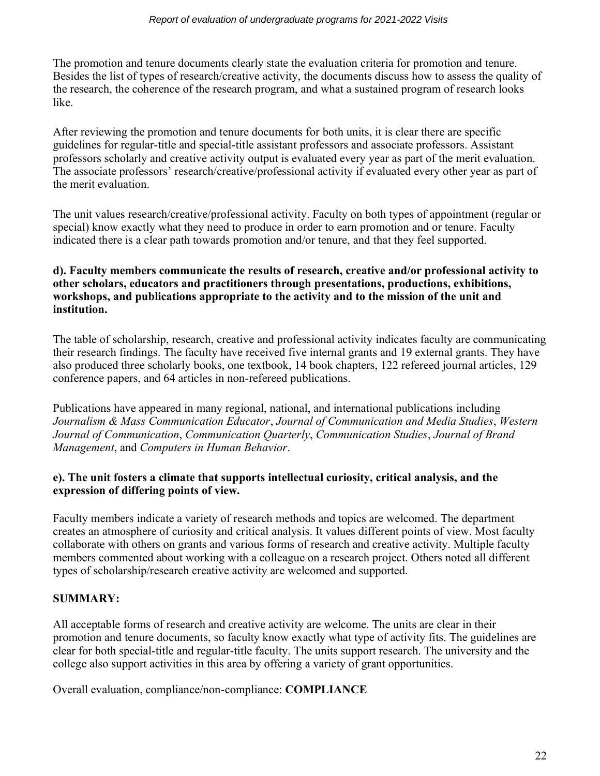The promotion and tenure documents clearly state the evaluation criteria for promotion and tenure. Besides the list of types of research/creative activity, the documents discuss how to assess the quality of the research, the coherence of the research program, and what a sustained program of research looks like.

After reviewing the promotion and tenure documents for both units, it is clear there are specific guidelines for regular-title and special-title assistant professors and associate professors. Assistant professors scholarly and creative activity output is evaluated every year as part of the merit evaluation. The associate professors' research/creative/professional activity if evaluated every other year as part of the merit evaluation.

The unit values research/creative/professional activity. Faculty on both types of appointment (regular or special) know exactly what they need to produce in order to earn promotion and or tenure. Faculty indicated there is a clear path towards promotion and/or tenure, and that they feel supported.

# **d). Faculty members communicate the results of research, creative and/or professional activity to other scholars, educators and practitioners through presentations, productions, exhibitions, workshops, and publications appropriate to the activity and to the mission of the unit and institution.**

The table of scholarship, research, creative and professional activity indicates faculty are communicating their research findings. The faculty have received five internal grants and 19 external grants. They have also produced three scholarly books, one textbook, 14 book chapters, 122 refereed journal articles, 129 conference papers, and 64 articles in non-refereed publications.

Publications have appeared in many regional, national, and international publications including *Journalism & Mass Communication Educator*, *Journal of Communication and Media Studies*, *Western Journal of Communication*, *Communication Quarterly*, *Communication Studies*, *Journal of Brand Management*, and *Computers in Human Behavior*.

# **e). The unit fosters a climate that supports intellectual curiosity, critical analysis, and the expression of differing points of view.**

Faculty members indicate a variety of research methods and topics are welcomed. The department creates an atmosphere of curiosity and critical analysis. It values different points of view. Most faculty collaborate with others on grants and various forms of research and creative activity. Multiple faculty members commented about working with a colleague on a research project. Others noted all different types of scholarship/research creative activity are welcomed and supported.

# **SUMMARY:**

All acceptable forms of research and creative activity are welcome. The units are clear in their promotion and tenure documents, so faculty know exactly what type of activity fits. The guidelines are clear for both special-title and regular-title faculty. The units support research. The university and the college also support activities in this area by offering a variety of grant opportunities.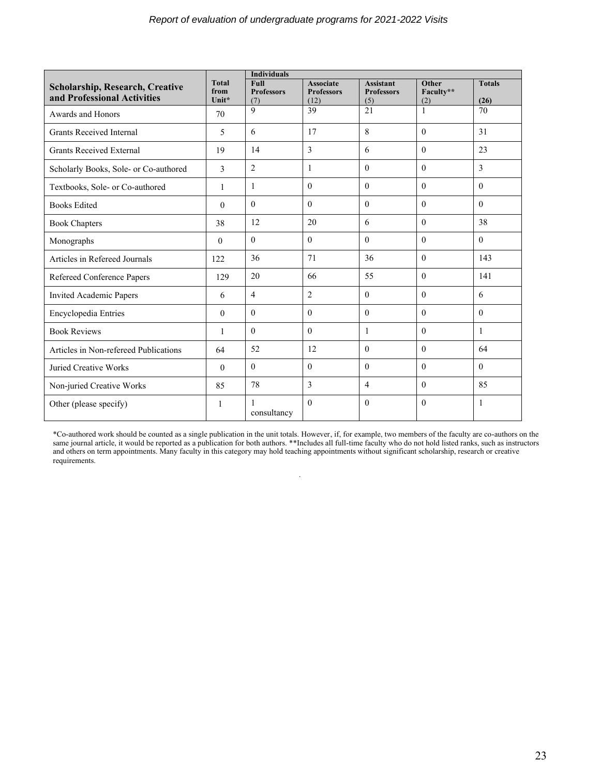|                                                                       |                               | <b>Individuals</b>               |                                               |                                              |                           |                       |
|-----------------------------------------------------------------------|-------------------------------|----------------------------------|-----------------------------------------------|----------------------------------------------|---------------------------|-----------------------|
| <b>Scholarship, Research, Creative</b><br>and Professional Activities | <b>Total</b><br>from<br>Unit* | Full<br><b>Professors</b><br>(7) | <b>Associate</b><br><b>Professors</b><br>(12) | <b>Assistant</b><br><b>Professors</b><br>(5) | Other<br>Faculty**<br>(2) | <b>Totals</b><br>(26) |
| Awards and Honors                                                     | 70                            | $\overline{Q}$                   | 39                                            | 21                                           | $\mathbf{1}$              | 70                    |
| <b>Grants Received Internal</b>                                       | 5                             | 6                                | 17                                            | 8                                            | $\theta$                  | 31                    |
| <b>Grants Received External</b>                                       | 19                            | 14                               | 3                                             | 6                                            | $\theta$                  | 23                    |
| Scholarly Books, Sole- or Co-authored                                 | 3                             | $\overline{2}$                   | 1                                             | $\theta$                                     | $\theta$                  | 3                     |
| Textbooks, Sole- or Co-authored                                       | 1                             | $\mathbf{1}$                     | $\Omega$                                      | $\theta$                                     | $\theta$                  | $\theta$              |
| <b>Books Edited</b>                                                   | $\theta$                      | $\theta$                         | $\theta$                                      | $\theta$                                     | $\theta$                  | $\mathbf{0}$          |
| <b>Book Chapters</b>                                                  | 38                            | 12                               | 20                                            | 6                                            | $\theta$                  | 38                    |
| Monographs                                                            | $\theta$                      | $\theta$                         | $\theta$                                      | $\theta$                                     | $\theta$                  | $\theta$              |
| Articles in Refereed Journals                                         | 122                           | 36                               | 71                                            | 36                                           | $\theta$                  | 143                   |
| Refereed Conference Papers                                            | 129                           | 20                               | 66                                            | 55                                           | $\theta$                  | 141                   |
| <b>Invited Academic Papers</b>                                        | 6                             | $\overline{4}$                   | $\overline{2}$                                | $\mathbf{0}$                                 | $\boldsymbol{0}$          | 6                     |
| Encyclopedia Entries                                                  | $\Omega$                      | $\theta$                         | $\theta$                                      | $\theta$                                     | $\theta$                  | $\Omega$              |
| <b>Book Reviews</b>                                                   | $\mathbf{1}$                  | $\theta$                         | $\Omega$                                      | $\mathbf{1}$                                 | $\theta$                  | 1                     |
| Articles in Non-refereed Publications                                 | 64                            | 52                               | 12                                            | $\theta$                                     | $\theta$                  | 64                    |
| Juried Creative Works                                                 | $\theta$                      | $\theta$                         | $\Omega$                                      | $\Omega$                                     | $\Omega$                  | $\Omega$              |
| Non-juried Creative Works                                             | 85                            | 78                               | 3                                             | $\overline{4}$                               | $\theta$                  | 85                    |
| Other (please specify)                                                | 1                             | 1<br>consultancy                 | $\Omega$                                      | $\theta$                                     | $\theta$                  | 1                     |

\*Co-authored work should be counted as a single publication in the unit totals. However, if, for example, two members of the faculty are co-authors on the same journal article, it would be reported as a publication for both authors. \*\*Includes all full-time faculty who do not hold listed ranks, such as instructors and others on term appointments. Many faculty in this category may hold teaching appointments without significant scholarship, research or creative requirements.

.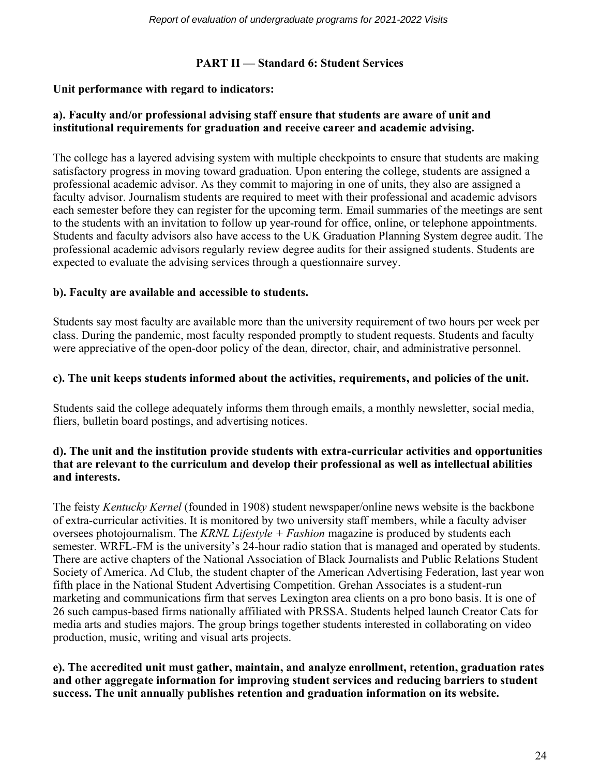# **PART II — Standard 6: Student Services**

#### **Unit performance with regard to indicators:**

## **a). Faculty and/or professional advising staff ensure that students are aware of unit and institutional requirements for graduation and receive career and academic advising.**

The college has a layered advising system with multiple checkpoints to ensure that students are making satisfactory progress in moving toward graduation. Upon entering the college, students are assigned a professional academic advisor. As they commit to majoring in one of units, they also are assigned a faculty advisor. Journalism students are required to meet with their professional and academic advisors each semester before they can register for the upcoming term. Email summaries of the meetings are sent to the students with an invitation to follow up year-round for office, online, or telephone appointments. Students and faculty advisors also have access to the UK Graduation Planning System degree audit. The professional academic advisors regularly review degree audits for their assigned students. Students are expected to evaluate the advising services through a questionnaire survey.

#### **b). Faculty are available and accessible to students.**

Students say most faculty are available more than the university requirement of two hours per week per class. During the pandemic, most faculty responded promptly to student requests. Students and faculty were appreciative of the open-door policy of the dean, director, chair, and administrative personnel.

#### **c). The unit keeps students informed about the activities, requirements, and policies of the unit.**

Students said the college adequately informs them through emails, a monthly newsletter, social media, fliers, bulletin board postings, and advertising notices.

## **d). The unit and the institution provide students with extra-curricular activities and opportunities that are relevant to the curriculum and develop their professional as well as intellectual abilities and interests.**

The feisty *Kentucky Kernel* (founded in 1908) student newspaper/online news website is the backbone of extra-curricular activities. It is monitored by two university staff members, while a faculty adviser oversees photojournalism. The *KRNL Lifestyle + Fashion* magazine is produced by students each semester. WRFL-FM is the university's 24-hour radio station that is managed and operated by students. There are active chapters of the National Association of Black Journalists and Public Relations Student Society of America. Ad Club, the student chapter of the American Advertising Federation, last year won fifth place in the National Student Advertising Competition. Grehan Associates is a student-run marketing and communications firm that serves Lexington area clients on a pro bono basis. It is one of 26 such campus-based firms nationally affiliated with PRSSA. Students helped launch Creator Cats for media arts and studies majors. The group brings together students interested in collaborating on video production, music, writing and visual arts projects.

**e). The accredited unit must gather, maintain, and analyze enrollment, retention, graduation rates and other aggregate information for improving student services and reducing barriers to student success. The unit annually publishes retention and graduation information on its website.**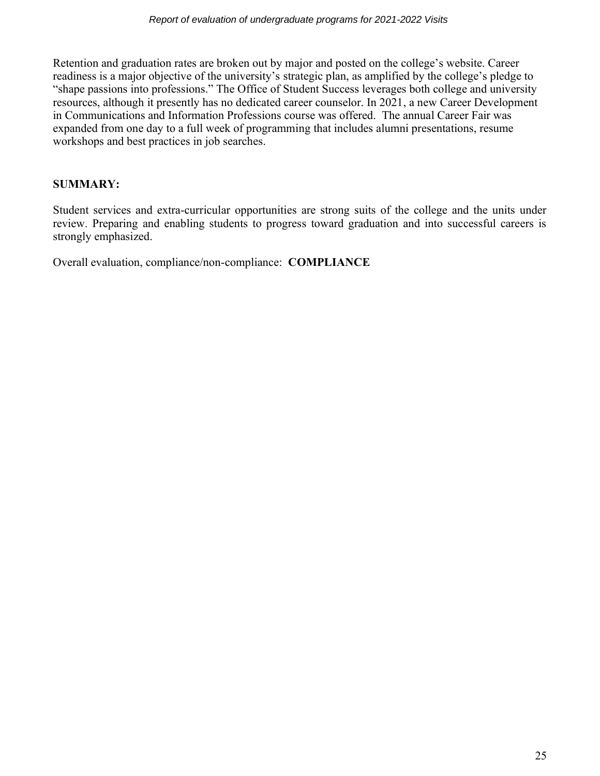Retention and graduation rates are broken out by major and posted on the college's website. Career readiness is a major objective of the university's strategic plan, as amplified by the college's pledge to "shape passions into professions." The Office of Student Success leverages both college and university resources, although it presently has no dedicated career counselor. In 2021, a new Career Development in Communications and Information Professions course was offered. The annual Career Fair was expanded from one day to a full week of programming that includes alumni presentations, resume workshops and best practices in job searches.

# **SUMMARY:**

Student services and extra-curricular opportunities are strong suits of the college and the units under review. Preparing and enabling students to progress toward graduation and into successful careers is strongly emphasized.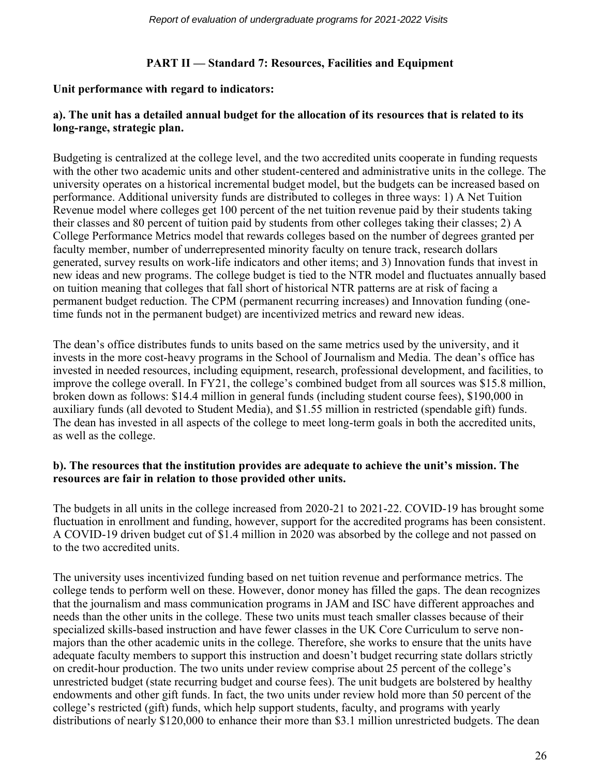# **PART II — Standard 7: Resources, Facilities and Equipment**

#### **Unit performance with regard to indicators:**

# **a). The unit has a detailed annual budget for the allocation of its resources that is related to its long-range, strategic plan.**

Budgeting is centralized at the college level, and the two accredited units cooperate in funding requests with the other two academic units and other student-centered and administrative units in the college. The university operates on a historical incremental budget model, but the budgets can be increased based on performance. Additional university funds are distributed to colleges in three ways: 1) A Net Tuition Revenue model where colleges get 100 percent of the net tuition revenue paid by their students taking their classes and 80 percent of tuition paid by students from other colleges taking their classes; 2) A College Performance Metrics model that rewards colleges based on the number of degrees granted per faculty member, number of underrepresented minority faculty on tenure track, research dollars generated, survey results on work-life indicators and other items; and 3) Innovation funds that invest in new ideas and new programs. The college budget is tied to the NTR model and fluctuates annually based on tuition meaning that colleges that fall short of historical NTR patterns are at risk of facing a permanent budget reduction. The CPM (permanent recurring increases) and Innovation funding (onetime funds not in the permanent budget) are incentivized metrics and reward new ideas.

The dean's office distributes funds to units based on the same metrics used by the university, and it invests in the more cost-heavy programs in the School of Journalism and Media. The dean's office has invested in needed resources, including equipment, research, professional development, and facilities, to improve the college overall. In FY21, the college's combined budget from all sources was \$15.8 million, broken down as follows: \$14.4 million in general funds (including student course fees), \$190,000 in auxiliary funds (all devoted to Student Media), and \$1.55 million in restricted (spendable gift) funds. The dean has invested in all aspects of the college to meet long-term goals in both the accredited units, as well as the college.

#### **b). The resources that the institution provides are adequate to achieve the unit's mission. The resources are fair in relation to those provided other units.**

The budgets in all units in the college increased from 2020-21 to 2021-22. COVID-19 has brought some fluctuation in enrollment and funding, however, support for the accredited programs has been consistent. A COVID-19 driven budget cut of \$1.4 million in 2020 was absorbed by the college and not passed on to the two accredited units.

The university uses incentivized funding based on net tuition revenue and performance metrics. The college tends to perform well on these. However, donor money has filled the gaps. The dean recognizes that the journalism and mass communication programs in JAM and ISC have different approaches and needs than the other units in the college. These two units must teach smaller classes because of their specialized skills-based instruction and have fewer classes in the UK Core Curriculum to serve nonmajors than the other academic units in the college. Therefore, she works to ensure that the units have adequate faculty members to support this instruction and doesn't budget recurring state dollars strictly on credit-hour production. The two units under review comprise about 25 percent of the college's unrestricted budget (state recurring budget and course fees). The unit budgets are bolstered by healthy endowments and other gift funds. In fact, the two units under review hold more than 50 percent of the college's restricted (gift) funds, which help support students, faculty, and programs with yearly distributions of nearly \$120,000 to enhance their more than \$3.1 million unrestricted budgets. The dean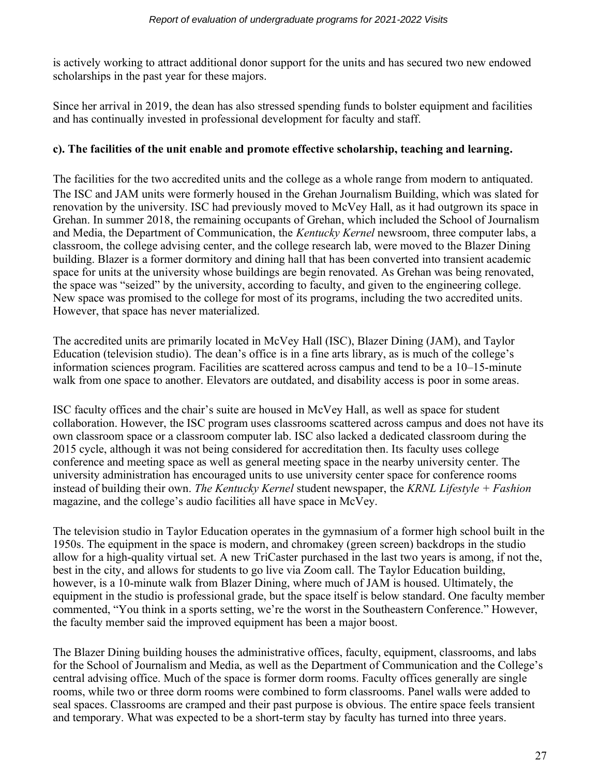is actively working to attract additional donor support for the units and has secured two new endowed scholarships in the past year for these majors.

Since her arrival in 2019, the dean has also stressed spending funds to bolster equipment and facilities and has continually invested in professional development for faculty and staff.

## **c). The facilities of the unit enable and promote effective scholarship, teaching and learning.**

The facilities for the two accredited units and the college as a whole range from modern to antiquated. The ISC and JAM units were formerly housed in the Grehan Journalism Building, which was slated for renovation by the university. ISC had previously moved to McVey Hall, as it had outgrown its space in Grehan. In summer 2018, the remaining occupants of Grehan, which included the School of Journalism and Media, the Department of Communication, the *Kentucky Kernel* newsroom, three computer labs, a classroom, the college advising center, and the college research lab, were moved to the Blazer Dining building. Blazer is a former dormitory and dining hall that has been converted into transient academic space for units at the university whose buildings are begin renovated. As Grehan was being renovated, the space was "seized" by the university, according to faculty, and given to the engineering college. New space was promised to the college for most of its programs, including the two accredited units. However, that space has never materialized.

The accredited units are primarily located in McVey Hall (ISC), Blazer Dining (JAM), and Taylor Education (television studio). The dean's office is in a fine arts library, as is much of the college's information sciences program. Facilities are scattered across campus and tend to be a 10–15-minute walk from one space to another. Elevators are outdated, and disability access is poor in some areas.

ISC faculty offices and the chair's suite are housed in McVey Hall, as well as space for student collaboration. However, the ISC program uses classrooms scattered across campus and does not have its own classroom space or a classroom computer lab. ISC also lacked a dedicated classroom during the 2015 cycle, although it was not being considered for accreditation then. Its faculty uses college conference and meeting space as well as general meeting space in the nearby university center. The university administration has encouraged units to use university center space for conference rooms instead of building their own. *The Kentucky Kernel* student newspaper, the *KRNL Lifestyle + Fashion* magazine, and the college's audio facilities all have space in McVey.

The television studio in Taylor Education operates in the gymnasium of a former high school built in the 1950s. The equipment in the space is modern, and chromakey (green screen) backdrops in the studio allow for a high-quality virtual set. A new TriCaster purchased in the last two years is among, if not the, best in the city, and allows for students to go live via Zoom call. The Taylor Education building, however, is a 10-minute walk from Blazer Dining, where much of JAM is housed. Ultimately, the equipment in the studio is professional grade, but the space itself is below standard. One faculty member commented, "You think in a sports setting, we're the worst in the Southeastern Conference." However, the faculty member said the improved equipment has been a major boost.

The Blazer Dining building houses the administrative offices, faculty, equipment, classrooms, and labs for the School of Journalism and Media, as well as the Department of Communication and the College's central advising office. Much of the space is former dorm rooms. Faculty offices generally are single rooms, while two or three dorm rooms were combined to form classrooms. Panel walls were added to seal spaces. Classrooms are cramped and their past purpose is obvious. The entire space feels transient and temporary. What was expected to be a short-term stay by faculty has turned into three years.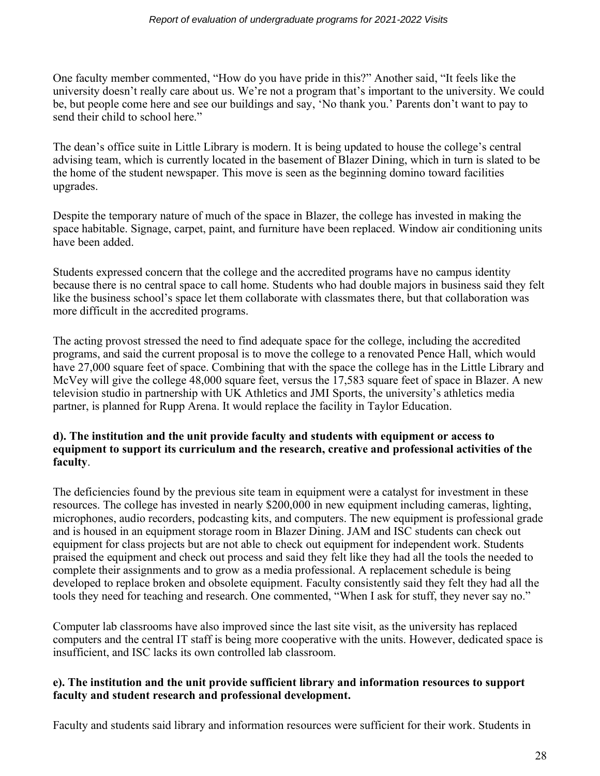One faculty member commented, "How do you have pride in this?" Another said, "It feels like the university doesn't really care about us. We're not a program that's important to the university. We could be, but people come here and see our buildings and say, 'No thank you.' Parents don't want to pay to send their child to school here."

The dean's office suite in Little Library is modern. It is being updated to house the college's central advising team, which is currently located in the basement of Blazer Dining, which in turn is slated to be the home of the student newspaper. This move is seen as the beginning domino toward facilities upgrades.

Despite the temporary nature of much of the space in Blazer, the college has invested in making the space habitable. Signage, carpet, paint, and furniture have been replaced. Window air conditioning units have been added.

Students expressed concern that the college and the accredited programs have no campus identity because there is no central space to call home. Students who had double majors in business said they felt like the business school's space let them collaborate with classmates there, but that collaboration was more difficult in the accredited programs.

The acting provost stressed the need to find adequate space for the college, including the accredited programs, and said the current proposal is to move the college to a renovated Pence Hall, which would have 27,000 square feet of space. Combining that with the space the college has in the Little Library and McVey will give the college 48,000 square feet, versus the 17,583 square feet of space in Blazer. A new television studio in partnership with UK Athletics and JMI Sports, the university's athletics media partner, is planned for Rupp Arena. It would replace the facility in Taylor Education.

#### **d). The institution and the unit provide faculty and students with equipment or access to equipment to support its curriculum and the research, creative and professional activities of the faculty**.

The deficiencies found by the previous site team in equipment were a catalyst for investment in these resources. The college has invested in nearly \$200,000 in new equipment including cameras, lighting, microphones, audio recorders, podcasting kits, and computers. The new equipment is professional grade and is housed in an equipment storage room in Blazer Dining. JAM and ISC students can check out equipment for class projects but are not able to check out equipment for independent work. Students praised the equipment and check out process and said they felt like they had all the tools the needed to complete their assignments and to grow as a media professional. A replacement schedule is being developed to replace broken and obsolete equipment. Faculty consistently said they felt they had all the tools they need for teaching and research. One commented, "When I ask for stuff, they never say no."

Computer lab classrooms have also improved since the last site visit, as the university has replaced computers and the central IT staff is being more cooperative with the units. However, dedicated space is insufficient, and ISC lacks its own controlled lab classroom.

## **e). The institution and the unit provide sufficient library and information resources to support faculty and student research and professional development.**

Faculty and students said library and information resources were sufficient for their work. Students in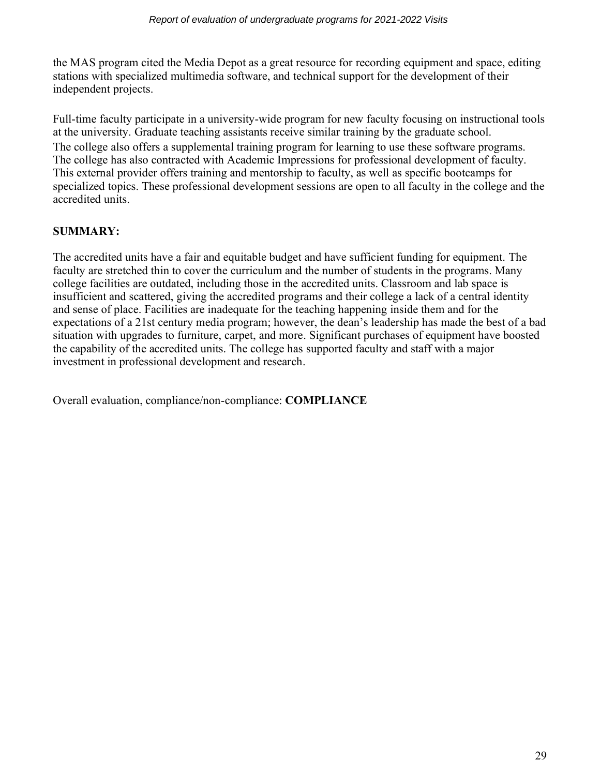the MAS program cited the Media Depot as a great resource for recording equipment and space, editing stations with specialized multimedia software, and technical support for the development of their independent projects.

Full-time faculty participate in a university-wide program for new faculty focusing on instructional tools at the university. Graduate teaching assistants receive similar training by the graduate school. The college also offers a supplemental training program for learning to use these software programs. The college has also contracted with Academic Impressions for professional development of faculty. This external provider offers training and mentorship to faculty, as well as specific bootcamps for specialized topics. These professional development sessions are open to all faculty in the college and the accredited units.

# **SUMMARY:**

The accredited units have a fair and equitable budget and have sufficient funding for equipment. The faculty are stretched thin to cover the curriculum and the number of students in the programs. Many college facilities are outdated, including those in the accredited units. Classroom and lab space is insufficient and scattered, giving the accredited programs and their college a lack of a central identity and sense of place. Facilities are inadequate for the teaching happening inside them and for the expectations of a 21st century media program; however, the dean's leadership has made the best of a bad situation with upgrades to furniture, carpet, and more. Significant purchases of equipment have boosted the capability of the accredited units. The college has supported faculty and staff with a major investment in professional development and research.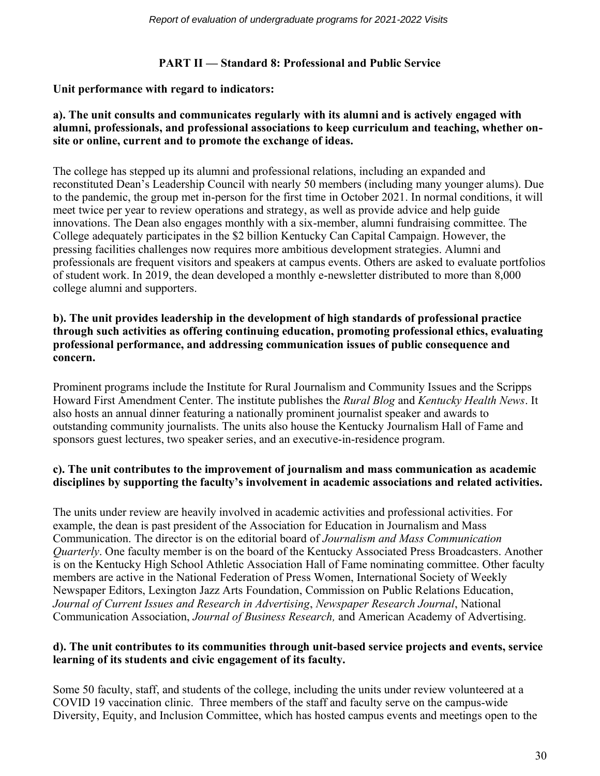# **PART II — Standard 8: Professional and Public Service**

## **Unit performance with regard to indicators:**

## **a). The unit consults and communicates regularly with its alumni and is actively engaged with alumni, professionals, and professional associations to keep curriculum and teaching, whether onsite or online, current and to promote the exchange of ideas.**

The college has stepped up its alumni and professional relations, including an expanded and reconstituted Dean's Leadership Council with nearly 50 members (including many younger alums). Due to the pandemic, the group met in-person for the first time in October 2021. In normal conditions, it will meet twice per year to review operations and strategy, as well as provide advice and help guide innovations. The Dean also engages monthly with a six-member, alumni fundraising committee. The College adequately participates in the \$2 billion Kentucky Can Capital Campaign. However, the pressing facilities challenges now requires more ambitious development strategies. Alumni and professionals are frequent visitors and speakers at campus events. Others are asked to evaluate portfolios of student work. In 2019, the dean developed a monthly e-newsletter distributed to more than 8,000 college alumni and supporters.

#### **b). The unit provides leadership in the development of high standards of professional practice through such activities as offering continuing education, promoting professional ethics, evaluating professional performance, and addressing communication issues of public consequence and concern.**

Prominent programs include the Institute for Rural Journalism and Community Issues and the Scripps Howard First Amendment Center. The institute publishes the *Rural Blog* and *Kentucky Health News*. It also hosts an annual dinner featuring a nationally prominent journalist speaker and awards to outstanding community journalists. The units also house the Kentucky Journalism Hall of Fame and sponsors guest lectures, two speaker series, and an executive-in-residence program.

# **c). The unit contributes to the improvement of journalism and mass communication as academic disciplines by supporting the faculty's involvement in academic associations and related activities.**

The units under review are heavily involved in academic activities and professional activities. For example, the dean is past president of the Association for Education in Journalism and Mass Communication. The director is on the editorial board of *Journalism and Mass Communication Quarterly*. One faculty member is on the board of the Kentucky Associated Press Broadcasters. Another is on the Kentucky High School Athletic Association Hall of Fame nominating committee. Other faculty members are active in the National Federation of Press Women, International Society of Weekly Newspaper Editors, Lexington Jazz Arts Foundation, Commission on Public Relations Education, *Journal of Current Issues and Research in Advertising*, *Newspaper Research Journal*, National Communication Association, *Journal of Business Research,* and American Academy of Advertising.

## **d). The unit contributes to its communities through unit-based service projects and events, service learning of its students and civic engagement of its faculty.**

Some 50 faculty, staff, and students of the college, including the units under review volunteered at a COVID 19 vaccination clinic. Three members of the staff and faculty serve on the campus-wide Diversity, Equity, and Inclusion Committee, which has hosted campus events and meetings open to the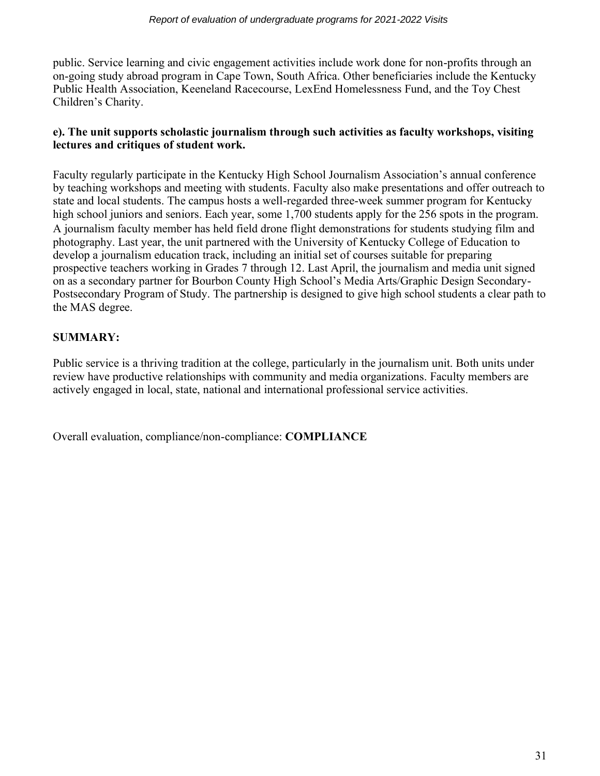public. Service learning and civic engagement activities include work done for non-profits through an on-going study abroad program in Cape Town, South Africa. Other beneficiaries include the Kentucky Public Health Association, Keeneland Racecourse, LexEnd Homelessness Fund, and the Toy Chest Children's Charity.

# **e). The unit supports scholastic journalism through such activities as faculty workshops, visiting lectures and critiques of student work.**

Faculty regularly participate in the Kentucky High School Journalism Association's annual conference by teaching workshops and meeting with students. Faculty also make presentations and offer outreach to state and local students. The campus hosts a well-regarded three-week summer program for Kentucky high school juniors and seniors. Each year, some 1,700 students apply for the 256 spots in the program. A journalism faculty member has held field drone flight demonstrations for students studying film and photography. Last year, the unit partnered with the University of Kentucky College of Education to develop a journalism education track, including an initial set of courses suitable for preparing prospective teachers working in Grades 7 through 12. Last April, the journalism and media unit signed on as a secondary partner for Bourbon County High School's Media Arts/Graphic Design Secondary-Postsecondary Program of Study. The partnership is designed to give high school students a clear path to the MAS degree.

# **SUMMARY:**

Public service is a thriving tradition at the college, particularly in the journalism unit. Both units under review have productive relationships with community and media organizations. Faculty members are actively engaged in local, state, national and international professional service activities.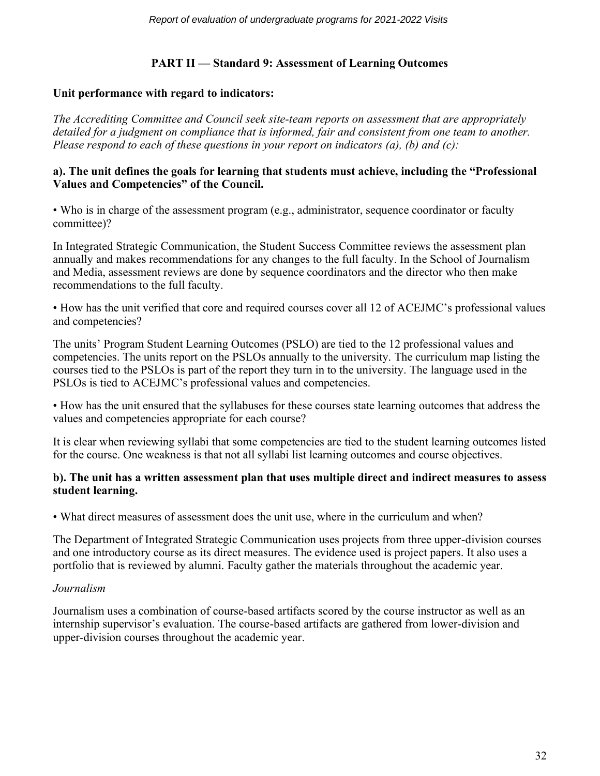# **PART II — Standard 9: Assessment of Learning Outcomes**

# **Unit performance with regard to indicators:**

*The Accrediting Committee and Council seek site-team reports on assessment that are appropriately detailed for a judgment on compliance that is informed, fair and consistent from one team to another. Please respond to each of these questions in your report on indicators (a), (b) and (c):*

#### **a). The unit defines the goals for learning that students must achieve, including the "Professional Values and Competencies" of the Council.**

• Who is in charge of the assessment program (e.g., administrator, sequence coordinator or faculty committee)?

In Integrated Strategic Communication, the Student Success Committee reviews the assessment plan annually and makes recommendations for any changes to the full faculty. In the School of Journalism and Media, assessment reviews are done by sequence coordinators and the director who then make recommendations to the full faculty.

• How has the unit verified that core and required courses cover all 12 of ACEJMC's professional values and competencies?

The units' Program Student Learning Outcomes (PSLO) are tied to the 12 professional values and competencies. The units report on the PSLOs annually to the university. The curriculum map listing the courses tied to the PSLOs is part of the report they turn in to the university. The language used in the PSLOs is tied to ACEJMC's professional values and competencies.

• How has the unit ensured that the syllabuses for these courses state learning outcomes that address the values and competencies appropriate for each course?

It is clear when reviewing syllabi that some competencies are tied to the student learning outcomes listed for the course. One weakness is that not all syllabi list learning outcomes and course objectives.

## **b). The unit has a written assessment plan that uses multiple direct and indirect measures to assess student learning.**

• What direct measures of assessment does the unit use, where in the curriculum and when?

The Department of Integrated Strategic Communication uses projects from three upper-division courses and one introductory course as its direct measures. The evidence used is project papers. It also uses a portfolio that is reviewed by alumni. Faculty gather the materials throughout the academic year.

# *Journalism*

Journalism uses a combination of course-based artifacts scored by the course instructor as well as an internship supervisor's evaluation. The course-based artifacts are gathered from lower-division and upper-division courses throughout the academic year.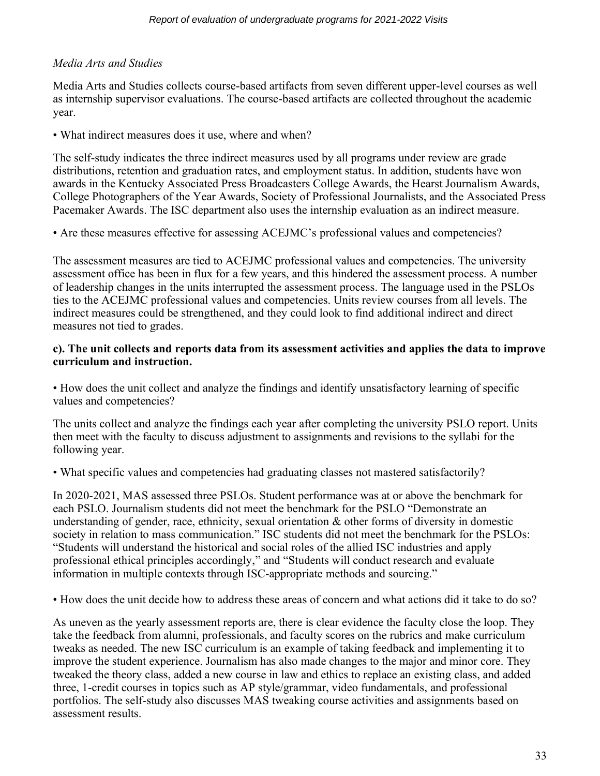# *Media Arts and Studies*

Media Arts and Studies collects course-based artifacts from seven different upper-level courses as well as internship supervisor evaluations. The course-based artifacts are collected throughout the academic year.

• What indirect measures does it use, where and when?

The self-study indicates the three indirect measures used by all programs under review are grade distributions, retention and graduation rates, and employment status. In addition, students have won awards in the Kentucky Associated Press Broadcasters College Awards, the Hearst Journalism Awards, College Photographers of the Year Awards, Society of Professional Journalists, and the Associated Press Pacemaker Awards. The ISC department also uses the internship evaluation as an indirect measure.

• Are these measures effective for assessing ACEJMC's professional values and competencies?

The assessment measures are tied to ACEJMC professional values and competencies. The university assessment office has been in flux for a few years, and this hindered the assessment process. A number of leadership changes in the units interrupted the assessment process. The language used in the PSLOs ties to the ACEJMC professional values and competencies. Units review courses from all levels. The indirect measures could be strengthened, and they could look to find additional indirect and direct measures not tied to grades.

# **c). The unit collects and reports data from its assessment activities and applies the data to improve curriculum and instruction.**

• How does the unit collect and analyze the findings and identify unsatisfactory learning of specific values and competencies?

The units collect and analyze the findings each year after completing the university PSLO report. Units then meet with the faculty to discuss adjustment to assignments and revisions to the syllabi for the following year.

• What specific values and competencies had graduating classes not mastered satisfactorily?

In 2020-2021, MAS assessed three PSLOs. Student performance was at or above the benchmark for each PSLO. Journalism students did not meet the benchmark for the PSLO "Demonstrate an understanding of gender, race, ethnicity, sexual orientation  $\&$  other forms of diversity in domestic society in relation to mass communication." ISC students did not meet the benchmark for the PSLOs: "Students will understand the historical and social roles of the allied ISC industries and apply professional ethical principles accordingly," and "Students will conduct research and evaluate information in multiple contexts through ISC-appropriate methods and sourcing."

• How does the unit decide how to address these areas of concern and what actions did it take to do so?

As uneven as the yearly assessment reports are, there is clear evidence the faculty close the loop. They take the feedback from alumni, professionals, and faculty scores on the rubrics and make curriculum tweaks as needed. The new ISC curriculum is an example of taking feedback and implementing it to improve the student experience. Journalism has also made changes to the major and minor core. They tweaked the theory class, added a new course in law and ethics to replace an existing class, and added three, 1-credit courses in topics such as AP style/grammar, video fundamentals, and professional portfolios. The self-study also discusses MAS tweaking course activities and assignments based on assessment results.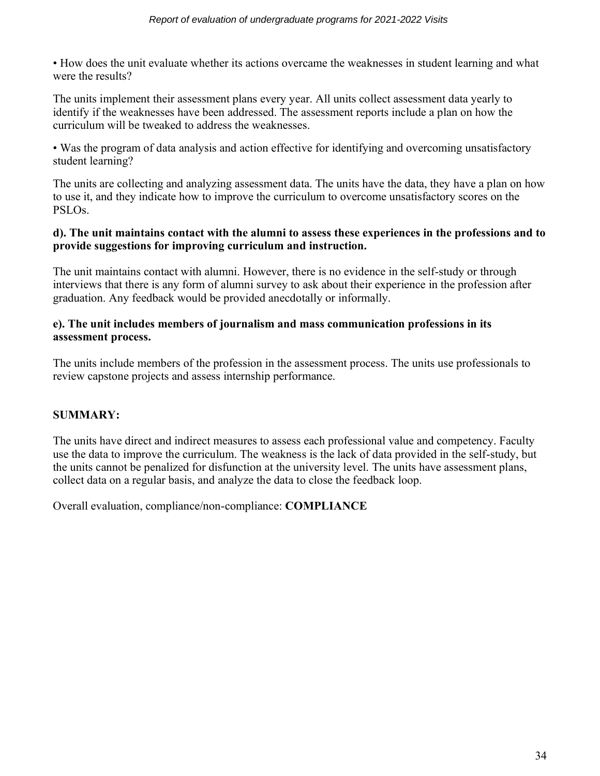• How does the unit evaluate whether its actions overcame the weaknesses in student learning and what were the results?

The units implement their assessment plans every year. All units collect assessment data yearly to identify if the weaknesses have been addressed. The assessment reports include a plan on how the curriculum will be tweaked to address the weaknesses.

• Was the program of data analysis and action effective for identifying and overcoming unsatisfactory student learning?

The units are collecting and analyzing assessment data. The units have the data, they have a plan on how to use it, and they indicate how to improve the curriculum to overcome unsatisfactory scores on the PSLOs.

#### **d). The unit maintains contact with the alumni to assess these experiences in the professions and to provide suggestions for improving curriculum and instruction.**

The unit maintains contact with alumni. However, there is no evidence in the self-study or through interviews that there is any form of alumni survey to ask about their experience in the profession after graduation. Any feedback would be provided anecdotally or informally.

## **e). The unit includes members of journalism and mass communication professions in its assessment process.**

The units include members of the profession in the assessment process. The units use professionals to review capstone projects and assess internship performance.

# **SUMMARY:**

The units have direct and indirect measures to assess each professional value and competency. Faculty use the data to improve the curriculum. The weakness is the lack of data provided in the self-study, but the units cannot be penalized for disfunction at the university level. The units have assessment plans, collect data on a regular basis, and analyze the data to close the feedback loop.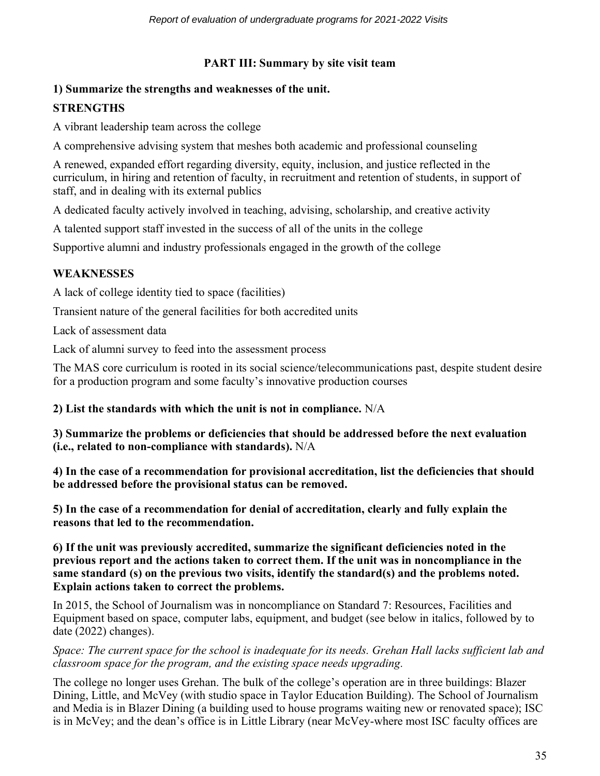# **PART III: Summary by site visit team**

# **1) Summarize the strengths and weaknesses of the unit.**

# **STRENGTHS**

A vibrant leadership team across the college

A comprehensive advising system that meshes both academic and professional counseling

A renewed, expanded effort regarding diversity, equity, inclusion, and justice reflected in the curriculum, in hiring and retention of faculty, in recruitment and retention of students, in support of staff, and in dealing with its external publics

A dedicated faculty actively involved in teaching, advising, scholarship, and creative activity

A talented support staff invested in the success of all of the units in the college

Supportive alumni and industry professionals engaged in the growth of the college

# **WEAKNESSES**

A lack of college identity tied to space (facilities)

Transient nature of the general facilities for both accredited units

Lack of assessment data

Lack of alumni survey to feed into the assessment process

The MAS core curriculum is rooted in its social science/telecommunications past, despite student desire for a production program and some faculty's innovative production courses

# **2) List the standards with which the unit is not in compliance.** N/A

**3) Summarize the problems or deficiencies that should be addressed before the next evaluation (i.e., related to non-compliance with standards).** N/A

**4) In the case of a recommendation for provisional accreditation, list the deficiencies that should be addressed before the provisional status can be removed.**

**5) In the case of a recommendation for denial of accreditation, clearly and fully explain the reasons that led to the recommendation.**

**6) If the unit was previously accredited, summarize the significant deficiencies noted in the previous report and the actions taken to correct them. If the unit was in noncompliance in the same standard (s) on the previous two visits, identify the standard(s) and the problems noted. Explain actions taken to correct the problems.** 

In 2015, the School of Journalism was in noncompliance on Standard 7: Resources, Facilities and Equipment based on space, computer labs, equipment, and budget (see below in italics, followed by to date (2022) changes).

*Space: The current space for the school is inadequate for its needs. Grehan Hall lacks sufficient lab and classroom space for the program, and the existing space needs upgrading.*

The college no longer uses Grehan. The bulk of the college's operation are in three buildings: Blazer Dining, Little, and McVey (with studio space in Taylor Education Building). The School of Journalism and Media is in Blazer Dining (a building used to house programs waiting new or renovated space); ISC is in McVey; and the dean's office is in Little Library (near McVey-where most ISC faculty offices are